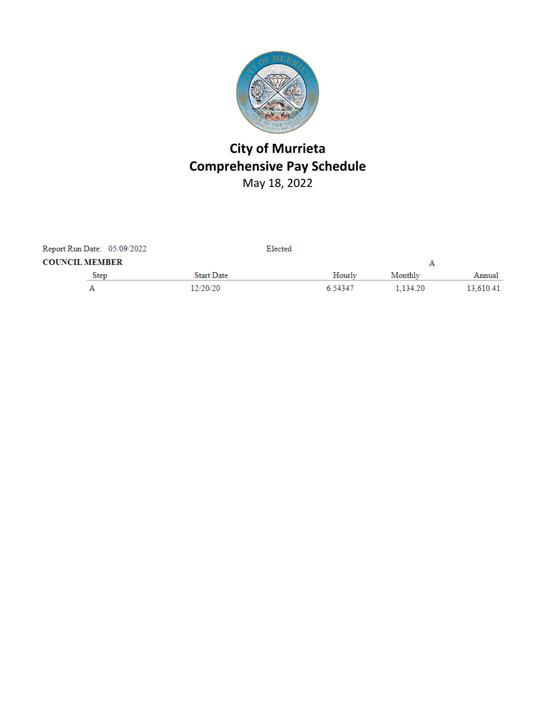

# **City of Murrieta Comprehensive Pay Schedule** May 18, 2022

| Report Run Date: 05/09/2022 |      |                   | Elected |          |           |
|-----------------------------|------|-------------------|---------|----------|-----------|
| <b>COUNCIL MEMBER</b>       |      |                   |         |          |           |
|                             | Step | <b>Start Date</b> | Hourly  | Monthly  | Annual    |
| А                           |      | 12/20/20          | 6 54347 | 1.134.20 | 13.610.41 |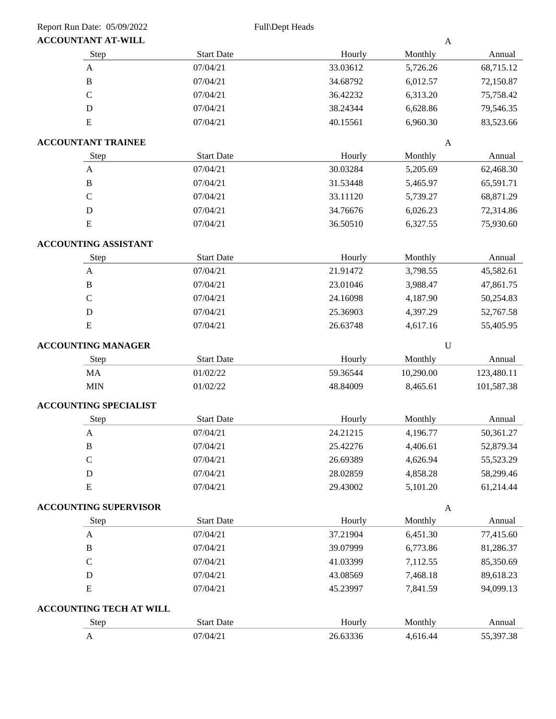| <b>ACCOUNTANT AT-WILL</b>    |                                |          | $\boldsymbol{\mathsf{A}}$ |            |
|------------------------------|--------------------------------|----------|---------------------------|------------|
| Step                         | <b>Start Date</b>              | Hourly   | Monthly                   | Annual     |
| $\mathbf A$                  | 07/04/21                       | 33.03612 | 5,726.26                  | 68,715.12  |
| $\, {\bf B}$                 | 07/04/21                       | 34.68792 | 6,012.57                  | 72,150.87  |
| $\mathbf C$                  | 07/04/21                       | 36.42232 | 6,313.20                  | 75,758.42  |
| $\mathbf D$                  | 07/04/21                       | 38.24344 | 6,628.86                  | 79,546.35  |
| ${\bf E}$                    | 07/04/21                       | 40.15561 | 6,960.30                  | 83,523.66  |
| <b>ACCOUNTANT TRAINEE</b>    |                                |          | $\mathbf{A}$              |            |
| Step                         | <b>Start Date</b>              | Hourly   | Monthly                   | Annual     |
| $\boldsymbol{\mathsf{A}}$    | 07/04/21                       | 30.03284 | 5,205.69                  | 62,468.30  |
| $\, {\bf B}$                 | 07/04/21                       | 31.53448 | 5,465.97                  | 65,591.71  |
| $\mathbf C$                  | 07/04/21                       | 33.11120 | 5,739.27                  | 68,871.29  |
| $\mathbf D$                  | 07/04/21                       | 34.76676 | 6,026.23                  | 72,314.86  |
| ${\bf E}$                    | 07/04/21                       | 36.50510 | 6,327.55                  | 75,930.60  |
| <b>ACCOUNTING ASSISTANT</b>  |                                |          |                           |            |
| Step                         | <b>Start Date</b>              | Hourly   | Monthly                   | Annual     |
| $\mathbf A$                  | 07/04/21                       | 21.91472 | 3,798.55                  | 45,582.61  |
| $\, {\bf B}$                 | 07/04/21                       | 23.01046 | 3,988.47                  | 47,861.75  |
| $\mathsf{C}$                 | 07/04/21                       | 24.16098 | 4,187.90                  | 50,254.83  |
| $\mathbf D$                  | 07/04/21                       | 25.36903 | 4,397.29                  | 52,767.58  |
| ${\bf E}$                    | 07/04/21                       | 26.63748 | 4,617.16                  | 55,405.95  |
| <b>ACCOUNTING MANAGER</b>    |                                |          | $\mathbf U$               |            |
| Step                         | <b>Start Date</b>              | Hourly   | Monthly                   | Annual     |
| MA                           | 01/02/22                       | 59.36544 | 10,290.00                 | 123,480.11 |
| <b>MIN</b>                   | 01/02/22                       | 48.84009 | 8,465.61                  | 101,587.38 |
| <b>ACCOUNTING SPECIALIST</b> |                                |          |                           |            |
| Step                         | <b>Start Date</b>              | Hourly   | Monthly                   | Annual     |
| $\boldsymbol{\mathsf{A}}$    | 07/04/21                       | 24.21215 | 4,196.77                  | 50,361.27  |
| В                            | 07/04/21                       | 25.42276 | 4,406.61                  | 52,879.34  |
| $\mathsf C$                  | 07/04/21                       | 26.69389 | 4,626.94                  | 55,523.29  |
| $\mathbf D$                  | 07/04/21                       | 28.02859 | 4,858.28                  | 58,299.46  |
| ${\bf E}$                    | 07/04/21                       | 29.43002 | 5,101.20                  | 61,214.44  |
| <b>ACCOUNTING SUPERVISOR</b> |                                |          | $\boldsymbol{\mathsf{A}}$ |            |
| Step                         | <b>Start Date</b>              | Hourly   | Monthly                   | Annual     |
| $\boldsymbol{\mathsf{A}}$    | 07/04/21                       | 37.21904 | 6,451.30                  | 77,415.60  |
| $\, {\bf B}$                 | 07/04/21                       | 39.07999 | 6,773.86                  | 81,286.37  |
| $\mathbf C$                  | 07/04/21                       | 41.03399 | 7,112.55                  | 85,350.69  |
| ${\rm D}$                    | 07/04/21                       | 43.08569 | 7,468.18                  | 89,618.23  |
| ${\bf E}$                    | 07/04/21                       | 45.23997 | 7,841.59                  | 94,099.13  |
|                              | <b>ACCOUNTING TECH AT WILL</b> |          |                           |            |
| Step                         | <b>Start Date</b>              | Hourly   | Monthly                   | Annual     |
| A                            | 07/04/21                       | 26.63336 | 4,616.44                  | 55,397.38  |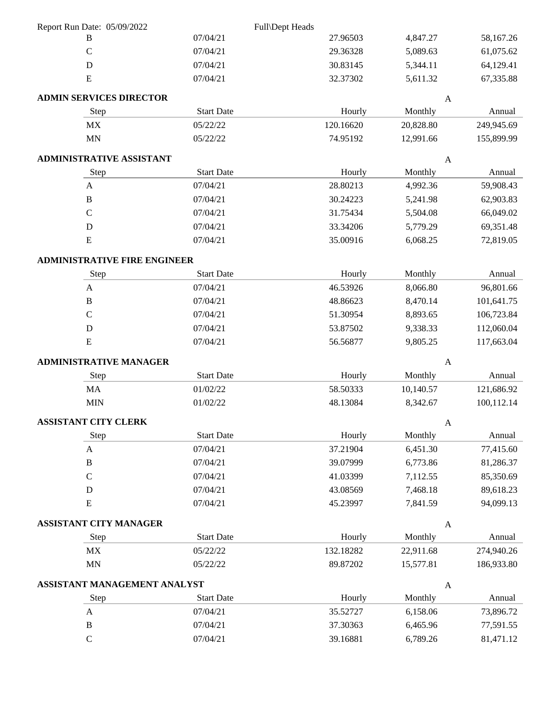| Report Run Date: 05/09/2022         |                   | Full\Dept Heads |              |            |
|-------------------------------------|-------------------|-----------------|--------------|------------|
| B                                   | 07/04/21          | 27.96503        | 4,847.27     | 58,167.26  |
| $\mathcal{C}$                       | 07/04/21          | 29.36328        | 5,089.63     | 61,075.62  |
| ${\bf D}$                           | 07/04/21          | 30.83145        | 5,344.11     | 64,129.41  |
| ${\bf E}$                           | 07/04/21          | 32.37302        | 5,611.32     | 67,335.88  |
| <b>ADMIN SERVICES DIRECTOR</b>      |                   |                 | $\mathbf{A}$ |            |
| Step                                | <b>Start Date</b> | Hourly          | Monthly      | Annual     |
| $\ensuremath{\text{MX}}\xspace$     | 05/22/22          | 120.16620       | 20,828.80    | 249,945.69 |
| $\mbox{MN}$                         | 05/22/22          | 74.95192        | 12,991.66    | 155,899.99 |
| ADMINISTRATIVE ASSISTANT            |                   |                 | $\mathbf{A}$ |            |
| Step                                | <b>Start Date</b> | Hourly          | Monthly      | Annual     |
| $\mathbf{A}$                        | 07/04/21          | 28.80213        | 4,992.36     | 59,908.43  |
| $\mathbf B$                         | 07/04/21          | 30.24223        | 5,241.98     | 62,903.83  |
| $\mathcal{C}$                       | 07/04/21          | 31.75434        | 5,504.08     | 66,049.02  |
| $\mathbf D$                         | 07/04/21          | 33.34206        | 5,779.29     | 69,351.48  |
| ${\bf E}$                           | 07/04/21          | 35.00916        | 6,068.25     | 72,819.05  |
| <b>ADMINISTRATIVE FIRE ENGINEER</b> |                   |                 |              |            |
| Step                                | <b>Start Date</b> | Hourly          | Monthly      | Annual     |
| $\mathbf{A}$                        | 07/04/21          | 46.53926        | 8,066.80     | 96,801.66  |
| B                                   | 07/04/21          | 48.86623        | 8,470.14     | 101,641.75 |
| $\mathbf C$                         | 07/04/21          | 51.30954        | 8,893.65     | 106,723.84 |
| D                                   | 07/04/21          | 53.87502        | 9,338.33     | 112,060.04 |
| $\mathbf E$                         | 07/04/21          | 56.56877        | 9,805.25     | 117,663.04 |
| <b>ADMINISTRATIVE MANAGER</b>       |                   |                 | $\mathbf{A}$ |            |
| Step                                | <b>Start Date</b> | Hourly          | Monthly      | Annual     |
| MA                                  | 01/02/22          | 58.50333        | 10,140.57    | 121,686.92 |
| <b>MIN</b>                          | 01/02/22          | 48.13084        | 8,342.67     | 100,112.14 |
| <b>ASSISTANT CITY CLERK</b>         |                   |                 | $\mathbf{A}$ |            |
| Step                                | <b>Start Date</b> | Hourly          | Monthly      | Annual     |
| $\mathbf{A}$                        | 07/04/21          | 37.21904        | 6,451.30     | 77,415.60  |
| $\, {\bf B}$                        | 07/04/21          | 39.07999        | 6,773.86     | 81,286.37  |
| $\mathbf C$                         | 07/04/21          | 41.03399        | 7,112.55     | 85,350.69  |
| ${\bf D}$                           | 07/04/21          | 43.08569        | 7,468.18     | 89,618.23  |
| ${\bf E}$                           | 07/04/21          | 45.23997        | 7,841.59     | 94,099.13  |
| ASSISTANT CITY MANAGER              |                   |                 | $\mathbf{A}$ |            |
| Step                                | <b>Start Date</b> | Hourly          | Monthly      | Annual     |
| MX                                  | 05/22/22          | 132.18282       | 22,911.68    | 274,940.26 |
| MN                                  | 05/22/22          | 89.87202        | 15,577.81    | 186,933.80 |
| ASSISTANT MANAGEMENT ANALYST        |                   |                 | $\mathbf{A}$ |            |
| Step                                | <b>Start Date</b> | Hourly          | Monthly      | Annual     |
| A                                   | 07/04/21          | 35.52727        | 6,158.06     | 73,896.72  |
| $\, {\bf B}$                        | 07/04/21          | 37.30363        | 6,465.96     | 77,591.55  |
| $\mathbf C$                         | 07/04/21          | 39.16881        | 6,789.26     | 81,471.12  |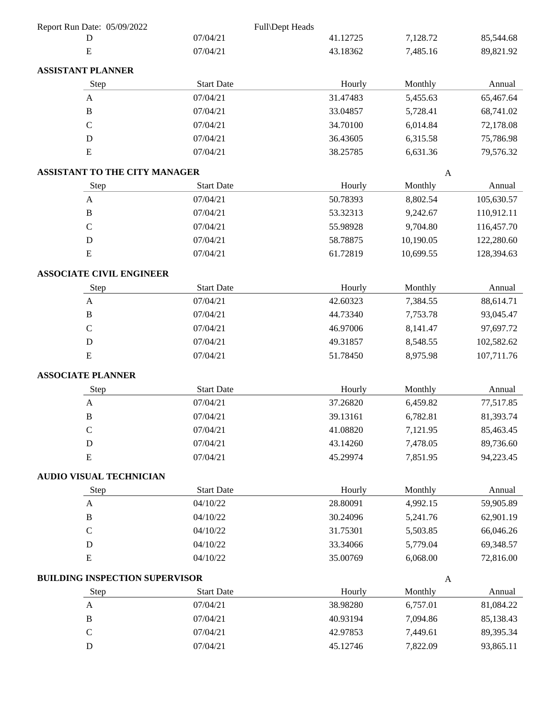| Report Run Date: 05/09/2022           |                   | Full\Dept Heads |              |            |
|---------------------------------------|-------------------|-----------------|--------------|------------|
| D                                     | 07/04/21          | 41.12725        | 7,128.72     | 85,544.68  |
| ${\bf E}$                             | 07/04/21          | 43.18362        | 7,485.16     | 89,821.92  |
| <b>ASSISTANT PLANNER</b>              |                   |                 |              |            |
| Step                                  | <b>Start Date</b> | Hourly          | Monthly      | Annual     |
| A                                     | 07/04/21          | 31.47483        | 5,455.63     | 65,467.64  |
| $\, {\bf B}$                          | 07/04/21          | 33.04857        | 5,728.41     | 68,741.02  |
| $\mathbf C$                           | 07/04/21          | 34.70100        | 6,014.84     | 72,178.08  |
| $\mathbf D$                           | 07/04/21          | 36.43605        | 6,315.58     | 75,786.98  |
| ${\bf E}$                             | 07/04/21          | 38.25785        | 6,631.36     | 79,576.32  |
| ASSISTANT TO THE CITY MANAGER         |                   |                 | A            |            |
| Step                                  | <b>Start Date</b> | Hourly          | Monthly      | Annual     |
| $\boldsymbol{\mathsf{A}}$             | 07/04/21          | 50.78393        | 8,802.54     | 105,630.57 |
| $\, {\bf B}$                          | 07/04/21          | 53.32313        | 9,242.67     | 110,912.11 |
| $\mathcal{C}$                         | 07/04/21          | 55.98928        | 9,704.80     | 116,457.70 |
| $\mathbf D$                           | 07/04/21          | 58.78875        | 10,190.05    | 122,280.60 |
| ${\bf E}$                             | 07/04/21          | 61.72819        | 10,699.55    | 128,394.63 |
| <b>ASSOCIATE CIVIL ENGINEER</b>       |                   |                 |              |            |
| Step                                  | <b>Start Date</b> | Hourly          | Monthly      | Annual     |
| A                                     | 07/04/21          | 42.60323        | 7,384.55     | 88,614.71  |
| $\, {\bf B}$                          | 07/04/21          | 44.73340        | 7,753.78     | 93,045.47  |
| $\mathbf C$                           | 07/04/21          | 46.97006        | 8,141.47     | 97,697.72  |
| $\mathbf D$                           | 07/04/21          | 49.31857        | 8,548.55     | 102,582.62 |
| ${\bf E}$                             | 07/04/21          | 51.78450        | 8,975.98     | 107,711.76 |
| <b>ASSOCIATE PLANNER</b>              |                   |                 |              |            |
| Step                                  | <b>Start Date</b> | Hourly          | Monthly      | Annual     |
| $\mathbf A$                           | 07/04/21          | 37.26820        | 6,459.82     | 77,517.85  |
| $\, {\bf B}$                          | 07/04/21          | 39.13161        | 6,782.81     | 81,393.74  |
| $\mathsf C$                           | 07/04/21          | 41.08820        | 7,121.95     | 85,463.45  |
| D                                     | 07/04/21          | 43.14260        | 7,478.05     | 89,736.60  |
| ${\bf E}$                             | 07/04/21          | 45.29974        | 7,851.95     | 94,223.45  |
| <b>AUDIO VISUAL TECHNICIAN</b>        |                   |                 |              |            |
| Step                                  | <b>Start Date</b> | Hourly          | Monthly      | Annual     |
| A                                     | 04/10/22          | 28.80091        | 4,992.15     | 59,905.89  |
| $\, {\bf B}$                          | 04/10/22          | 30.24096        | 5,241.76     | 62,901.19  |
| $\mathsf C$                           | 04/10/22          | 31.75301        | 5,503.85     | 66,046.26  |
| $\mathbf D$                           | 04/10/22          | 33.34066        | 5,779.04     | 69,348.57  |
| ${\bf E}$                             | 04/10/22          | 35.00769        | 6,068.00     | 72,816.00  |
| <b>BUILDING INSPECTION SUPERVISOR</b> |                   |                 | $\mathbf{A}$ |            |
| Step                                  | <b>Start Date</b> | Hourly          | Monthly      | Annual     |
| $\mathbf{A}$                          | 07/04/21          | 38.98280        | 6,757.01     | 81,084.22  |
| $\, {\bf B}$                          | 07/04/21          | 40.93194        | 7,094.86     | 85,138.43  |
| $\mathbf C$                           | 07/04/21          | 42.97853        | 7,449.61     | 89,395.34  |
| ${\bf D}$                             | 07/04/21          | 45.12746        | 7,822.09     | 93,865.11  |
|                                       |                   |                 |              |            |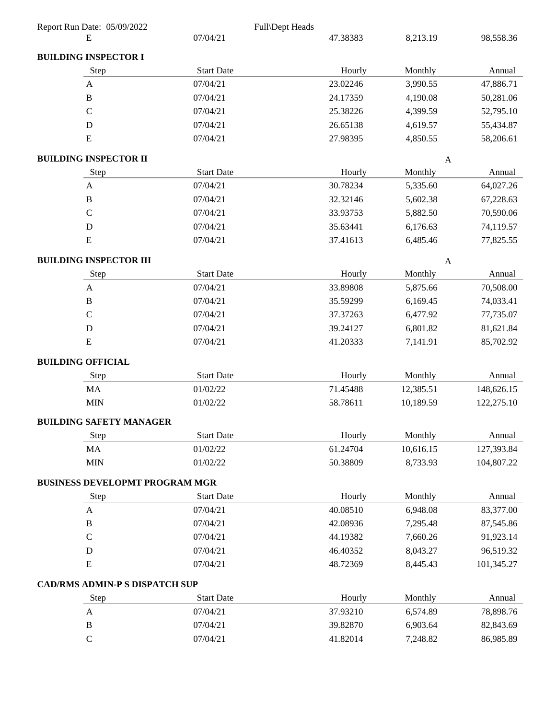| Report Run Date: 05/09/2022           |                   | Full\Dept Heads |              |            |
|---------------------------------------|-------------------|-----------------|--------------|------------|
| E                                     | 07/04/21          | 47.38383        | 8,213.19     | 98,558.36  |
| <b>BUILDING INSPECTOR I</b>           |                   |                 |              |            |
| Step                                  | <b>Start Date</b> | Hourly          | Monthly      | Annual     |
| A                                     | 07/04/21          | 23.02246        | 3,990.55     | 47,886.71  |
| $\, {\bf B}$                          | 07/04/21          | 24.17359        | 4,190.08     | 50,281.06  |
| $\mathsf C$                           | 07/04/21          | 25.38226        | 4,399.59     | 52,795.10  |
| D                                     | 07/04/21          | 26.65138        | 4,619.57     | 55,434.87  |
| E                                     | 07/04/21          | 27.98395        | 4,850.55     | 58,206.61  |
| <b>BUILDING INSPECTOR II</b>          |                   |                 | $\mathbf{A}$ |            |
| Step                                  | <b>Start Date</b> | Hourly          | Monthly      | Annual     |
| $\boldsymbol{A}$                      | 07/04/21          | 30.78234        | 5,335.60     | 64,027.26  |
| B                                     | 07/04/21          | 32.32146        | 5,602.38     | 67,228.63  |
| $\mathbf C$                           | 07/04/21          | 33.93753        | 5,882.50     | 70,590.06  |
| D                                     | 07/04/21          | 35.63441        | 6,176.63     | 74,119.57  |
| E                                     | 07/04/21          | 37.41613        | 6,485.46     | 77,825.55  |
| <b>BUILDING INSPECTOR III</b>         |                   |                 | $\mathbf{A}$ |            |
| Step                                  | <b>Start Date</b> | Hourly          | Monthly      | Annual     |
| A                                     | 07/04/21          | 33.89808        | 5,875.66     | 70,508.00  |
| $\bf{B}$                              | 07/04/21          | 35.59299        | 6,169.45     | 74,033.41  |
| $\mathbf C$                           | 07/04/21          | 37.37263        | 6,477.92     | 77,735.07  |
| D                                     | 07/04/21          | 39.24127        | 6,801.82     | 81,621.84  |
| E                                     | 07/04/21          | 41.20333        | 7,141.91     | 85,702.92  |
| <b>BUILDING OFFICIAL</b>              |                   |                 |              |            |
| Step                                  | <b>Start Date</b> | Hourly          | Monthly      | Annual     |
| MA                                    | 01/02/22          | 71.45488        | 12,385.51    | 148,626.15 |
| <b>MIN</b>                            | 01/02/22          | 58.78611        | 10,189.59    | 122,275.10 |
| <b>BUILDING SAFETY MANAGER</b>        |                   |                 |              |            |
| Step                                  | <b>Start Date</b> | Hourly          | Monthly      | Annual     |
| MA                                    | 01/02/22          | 61.24704        | 10,616.15    | 127,393.84 |
| <b>MIN</b>                            | 01/02/22          | 50.38809        | 8,733.93     | 104,807.22 |
| <b>BUSINESS DEVELOPMT PROGRAM MGR</b> |                   |                 |              |            |
| Step                                  | <b>Start Date</b> | Hourly          | Monthly      | Annual     |
| A                                     | 07/04/21          | 40.08510        | 6,948.08     | 83,377.00  |
| $\, {\bf B}$                          | 07/04/21          | 42.08936        | 7,295.48     | 87,545.86  |
| $\mathbf C$                           | 07/04/21          | 44.19382        | 7,660.26     | 91,923.14  |
| D                                     | 07/04/21          | 46.40352        | 8,043.27     | 96,519.32  |
| ${\bf E}$                             | 07/04/21          | 48.72369        | 8,445.43     | 101,345.27 |
| <b>CAD/RMS ADMIN-P S DISPATCH SUP</b> |                   |                 |              |            |
| Step                                  | <b>Start Date</b> | Hourly          | Monthly      | Annual     |
| A                                     | 07/04/21          | 37.93210        | 6,574.89     | 78,898.76  |
| $\, {\bf B}$                          | 07/04/21          | 39.82870        | 6,903.64     | 82,843.69  |
| $\mathbf C$                           | 07/04/21          | 41.82014        | 7,248.82     | 86,985.89  |
|                                       |                   |                 |              |            |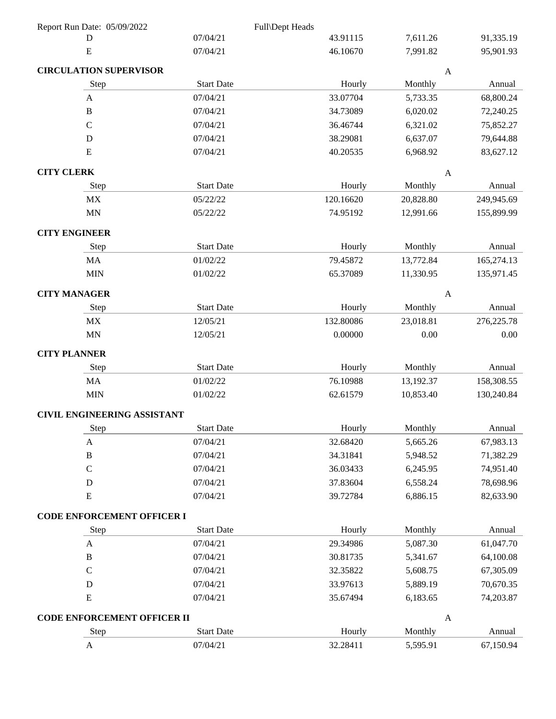| Report Run Date: 05/09/2022        |                   | Full\Dept Heads |              |             |
|------------------------------------|-------------------|-----------------|--------------|-------------|
| D                                  | 07/04/21          | 43.91115        | 7,611.26     | 91,335.19   |
| E                                  | 07/04/21          | 46.10670        | 7,991.82     | 95,901.93   |
| <b>CIRCULATION SUPERVISOR</b>      |                   |                 | $\mathbf{A}$ |             |
| Step                               | <b>Start Date</b> | Hourly          | Monthly      | Annual      |
| $\mathbf{A}$                       | 07/04/21          | 33.07704        | 5,733.35     | 68,800.24   |
| $\bf{B}$                           | 07/04/21          | 34.73089        | 6,020.02     | 72,240.25   |
| $\mathsf{C}$                       | 07/04/21          | 36.46744        | 6,321.02     | 75,852.27   |
| D                                  | 07/04/21          | 38.29081        | 6,637.07     | 79,644.88   |
| E                                  | 07/04/21          | 40.20535        | 6,968.92     | 83,627.12   |
| <b>CITY CLERK</b>                  |                   |                 | A            |             |
| Step                               | <b>Start Date</b> | Hourly          | Monthly      | Annual      |
| <b>MX</b>                          | 05/22/22          | 120.16620       | 20,828.80    | 249,945.69  |
| <b>MN</b>                          | 05/22/22          | 74.95192        | 12,991.66    | 155,899.99  |
| <b>CITY ENGINEER</b>               |                   |                 |              |             |
| Step                               | <b>Start Date</b> | Hourly          | Monthly      | Annual      |
| <b>MA</b>                          | 01/02/22          | 79.45872        | 13,772.84    | 165,274.13  |
| <b>MIN</b>                         | 01/02/22          | 65.37089        | 11,330.95    | 135,971.45  |
| <b>CITY MANAGER</b>                |                   |                 | $\mathbf{A}$ |             |
| Step                               | <b>Start Date</b> | Hourly          | Monthly      | Annual      |
| $\ensuremath{\text{MX}}\xspace$    | 12/05/21          | 132.80086       | 23,018.81    | 276, 225.78 |
| <b>MN</b>                          | 12/05/21          | 0.00000         | 0.00         | 0.00        |
| <b>CITY PLANNER</b>                |                   |                 |              |             |
| Step                               | <b>Start Date</b> | Hourly          | Monthly      | Annual      |
| <b>MA</b>                          | 01/02/22          | 76.10988        | 13,192.37    | 158,308.55  |
| <b>MIN</b>                         | 01/02/22          | 62.61579        | 10,853.40    | 130,240.84  |
| <b>CIVIL ENGINEERING ASSISTANT</b> |                   |                 |              |             |
| Step                               | <b>Start Date</b> | Hourly          | Monthly      | Annual      |
| A                                  | 07/04/21          | 32.68420        | 5,665.26     | 67,983.13   |
| $\, {\bf B}$                       | 07/04/21          | 34.31841        | 5,948.52     | 71,382.29   |
| $\mathbf C$                        | 07/04/21          | 36.03433        | 6,245.95     | 74,951.40   |
| D                                  | 07/04/21          | 37.83604        | 6,558.24     | 78,698.96   |
| ${\bf E}$                          | 07/04/21          | 39.72784        | 6,886.15     | 82,633.90   |
| <b>CODE ENFORCEMENT OFFICER I</b>  |                   |                 |              |             |
| Step                               | <b>Start Date</b> | Hourly          | Monthly      | Annual      |
| $\mathbf{A}$                       | 07/04/21          | 29.34986        | 5,087.30     | 61,047.70   |
| $\, {\bf B}$                       | 07/04/21          | 30.81735        | 5,341.67     | 64,100.08   |
| $\mathsf C$                        | 07/04/21          | 32.35822        | 5,608.75     | 67,305.09   |
| $\mathbf D$                        | 07/04/21          | 33.97613        | 5,889.19     | 70,670.35   |
| E                                  | 07/04/21          | 35.67494        | 6,183.65     | 74,203.87   |
| CODE ENFORCEMENT OFFICER II        |                   |                 | $\mathbf{A}$ |             |
| Step                               | <b>Start Date</b> | Hourly          | Monthly      | Annual      |
| A                                  | 07/04/21          | 32.28411        | 5,595.91     | 67,150.94   |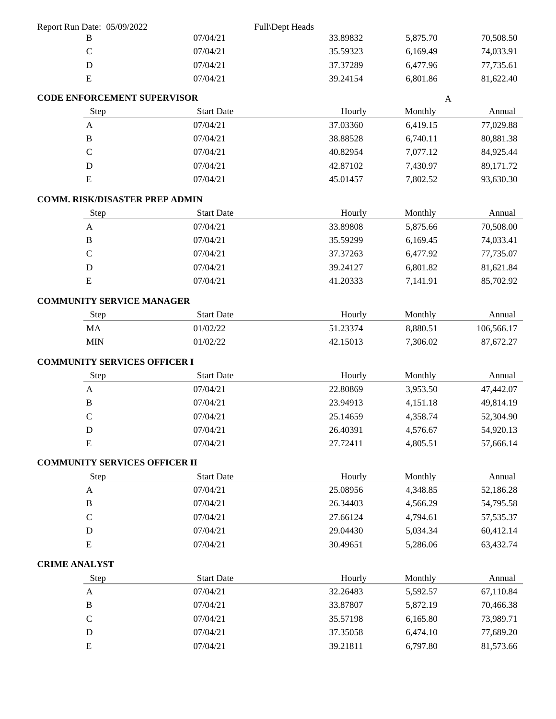| Report Run Date: 05/09/2022           |                   | Full\Dept Heads |              |             |
|---------------------------------------|-------------------|-----------------|--------------|-------------|
| B                                     | 07/04/21          | 33.89832        | 5,875.70     | 70,508.50   |
| $\mathbf C$                           | 07/04/21          | 35.59323        | 6,169.49     | 74,033.91   |
| $\mathbf D$                           | 07/04/21          | 37.37289        | 6,477.96     | 77,735.61   |
| ${\bf E}$                             | 07/04/21          | 39.24154        | 6,801.86     | 81,622.40   |
| <b>CODE ENFORCEMENT SUPERVISOR</b>    |                   |                 | $\mathbf{A}$ |             |
| Step                                  | <b>Start Date</b> | Hourly          | Monthly      | Annual      |
| $\mathbf{A}$                          | 07/04/21          | 37.03360        | 6,419.15     | 77,029.88   |
| $\, {\bf B}$                          | 07/04/21          | 38.88528        | 6,740.11     | 80,881.38   |
| $\mathcal{C}$                         | 07/04/21          | 40.82954        | 7,077.12     | 84,925.44   |
| $\mathbf D$                           | 07/04/21          | 42.87102        | 7,430.97     | 89,171.72   |
| ${\bf E}$                             | 07/04/21          | 45.01457        | 7,802.52     | 93,630.30   |
| <b>COMM. RISK/DISASTER PREP ADMIN</b> |                   |                 |              |             |
| Step                                  | <b>Start Date</b> | Hourly          | Monthly      | Annual      |
| $\mathbf{A}$                          | 07/04/21          | 33.89808        | 5,875.66     | 70,508.00   |
| $\, {\bf B}$                          | 07/04/21          | 35.59299        | 6,169.45     | 74,033.41   |
| $\mathbf C$                           | 07/04/21          | 37.37263        | 6,477.92     | 77,735.07   |
| D                                     | 07/04/21          | 39.24127        | 6,801.82     | 81,621.84   |
| E                                     | 07/04/21          | 41.20333        | 7,141.91     | 85,702.92   |
| <b>COMMUNITY SERVICE MANAGER</b>      |                   |                 |              |             |
| Step                                  | <b>Start Date</b> | Hourly          | Monthly      | Annual      |
| MA                                    | 01/02/22          | 51.23374        | 8,880.51     | 106,566.17  |
| <b>MIN</b>                            | 01/02/22          | 42.15013        | 7,306.02     | 87,672.27   |
|                                       |                   |                 |              |             |
| <b>COMMUNITY SERVICES OFFICER I</b>   |                   |                 |              |             |
| Step                                  | <b>Start Date</b> | Hourly          | Monthly      | Annual      |
| $\mathbf{A}$                          | 07/04/21          | 22.80869        | 3,953.50     | 47,442.07   |
| $\, {\bf B}$                          | 07/04/21          | 23.94913        | 4,151.18     | 49,814.19   |
| $\mathcal{C}$                         | 07/04/21          | 25.14659        | 4,358.74     | 52,304.90   |
| $\mathbf D$                           | 07/04/21          | 26.40391        | 4,576.67     | 54,920.13   |
| ${\bf E}$                             | 07/04/21          | 27.72411        | 4,805.51     | 57,666.14   |
| <b>COMMUNITY SERVICES OFFICER II</b>  |                   |                 |              |             |
| Step                                  | <b>Start Date</b> | Hourly          | Monthly      | Annual      |
| $\mathbf{A}$                          | 07/04/21          | 25.08956        | 4,348.85     | 52,186.28   |
| $\, {\bf B}$                          | 07/04/21          | 26.34403        | 4,566.29     | 54,795.58   |
| $\mathsf C$                           | 07/04/21          | 27.66124        | 4,794.61     | 57, 535. 37 |
| D                                     | 07/04/21          | 29.04430        | 5,034.34     | 60,412.14   |
| ${\bf E}$                             | 07/04/21          | 30.49651        | 5,286.06     | 63,432.74   |
| <b>CRIME ANALYST</b>                  |                   |                 |              |             |
| Step                                  | <b>Start Date</b> | Hourly          | Monthly      | Annual      |
| $\mathbf{A}$                          | 07/04/21          | 32.26483        | 5,592.57     | 67,110.84   |
| $\, {\bf B}$                          | 07/04/21          | 33.87807        | 5,872.19     | 70,466.38   |
| $\mathsf C$                           | 07/04/21          | 35.57198        | 6,165.80     | 73,989.71   |
| D                                     | 07/04/21          | 37.35058        | 6,474.10     | 77,689.20   |
| ${\bf E}$                             | 07/04/21          | 39.21811        | 6,797.80     | 81,573.66   |
|                                       |                   |                 |              |             |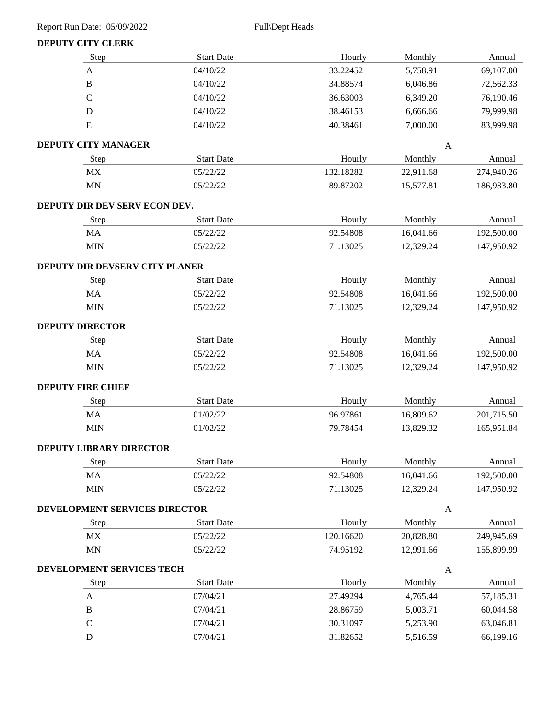### **DEPUTY CITY CLERK**

| Step                                 | <b>Start Date</b> | Hourly    | Monthly      | Annual     |
|--------------------------------------|-------------------|-----------|--------------|------------|
| $\boldsymbol{\mathsf{A}}$            | 04/10/22          | 33.22452  | 5,758.91     | 69,107.00  |
| $\, {\bf B}$                         | 04/10/22          | 34.88574  | 6,046.86     | 72,562.33  |
| $\mathcal{C}$                        | 04/10/22          | 36.63003  | 6,349.20     | 76,190.46  |
| $\mathbf D$                          | 04/10/22          | 38.46153  | 6,666.66     | 79,999.98  |
| ${\bf E}$                            | 04/10/22          | 40.38461  | 7,000.00     | 83,999.98  |
| <b>DEPUTY CITY MANAGER</b>           |                   |           | A            |            |
| Step                                 | <b>Start Date</b> | Hourly    | Monthly      | Annual     |
| MX                                   | 05/22/22          | 132.18282 | 22,911.68    | 274,940.26 |
| MN                                   | 05/22/22          | 89.87202  | 15,577.81    | 186,933.80 |
| DEPUTY DIR DEV SERV ECON DEV.        |                   |           |              |            |
| Step                                 | <b>Start Date</b> | Hourly    | Monthly      | Annual     |
| MA                                   | 05/22/22          | 92.54808  | 16,041.66    | 192,500.00 |
| <b>MIN</b>                           | 05/22/22          | 71.13025  | 12,329.24    | 147,950.92 |
| DEPUTY DIR DEVSERV CITY PLANER       |                   |           |              |            |
| Step                                 | <b>Start Date</b> | Hourly    | Monthly      | Annual     |
| MA                                   | 05/22/22          | 92.54808  | 16,041.66    | 192,500.00 |
| <b>MIN</b>                           | 05/22/22          | 71.13025  | 12,329.24    | 147,950.92 |
| <b>DEPUTY DIRECTOR</b>               |                   |           |              |            |
| Step                                 | <b>Start Date</b> | Hourly    | Monthly      | Annual     |
| MA                                   | 05/22/22          | 92.54808  | 16,041.66    | 192,500.00 |
| <b>MIN</b>                           | 05/22/22          | 71.13025  | 12,329.24    | 147,950.92 |
| <b>DEPUTY FIRE CHIEF</b>             |                   |           |              |            |
| Step                                 | <b>Start Date</b> | Hourly    | Monthly      | Annual     |
| MA                                   | 01/02/22          | 96.97861  | 16,809.62    | 201,715.50 |
| <b>MIN</b>                           | 01/02/22          | 79.78454  | 13,829.32    | 165,951.84 |
| <b>DEPUTY LIBRARY DIRECTOR</b>       |                   |           |              |            |
| Step                                 | <b>Start Date</b> | Hourly    | Monthly      | Annual     |
| MA                                   | 05/22/22          | 92.54808  | 16,041.66    | 192,500.00 |
| <b>MIN</b>                           | 05/22/22          | 71.13025  | 12,329.24    | 147,950.92 |
| <b>DEVELOPMENT SERVICES DIRECTOR</b> |                   |           | $\mathbf{A}$ |            |
| Step                                 | <b>Start Date</b> | Hourly    | Monthly      | Annual     |
| MX                                   | 05/22/22          | 120.16620 | 20,828.80    | 249,945.69 |
| $\mbox{MN}$                          | 05/22/22          | 74.95192  | 12,991.66    | 155,899.99 |
| <b>DEVELOPMENT SERVICES TECH</b>     |                   |           | $\mathbf{A}$ |            |
| Step                                 | <b>Start Date</b> | Hourly    | Monthly      | Annual     |
| $\mathbf{A}$                         | 07/04/21          | 27.49294  | 4,765.44     | 57,185.31  |
| $\, {\bf B}$                         | 07/04/21          | 28.86759  | 5,003.71     | 60,044.58  |
| $\mathcal{C}$                        | 07/04/21          | 30.31097  | 5,253.90     | 63,046.81  |
| ${\bf D}$                            | 07/04/21          | 31.82652  | 5,516.59     | 66,199.16  |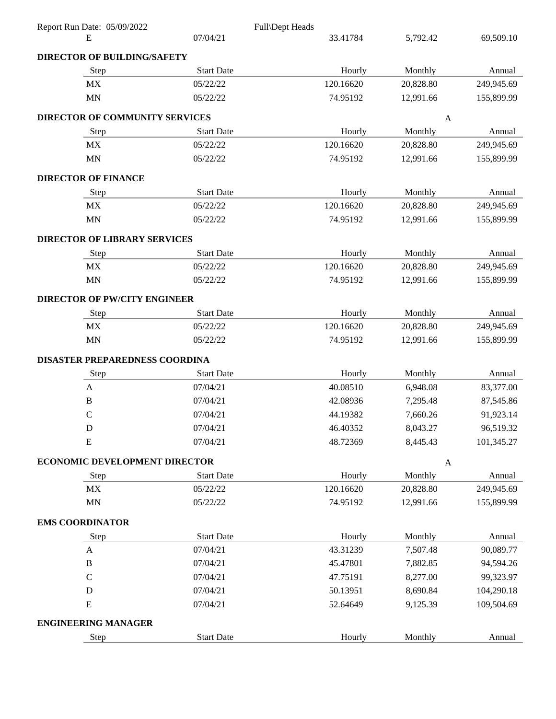| 07/04/21<br>69,509.10<br>33.41784<br>5,792.42<br>Ε<br><b>DIRECTOR OF BUILDING/SAFETY</b><br><b>Start Date</b><br>Step<br>Hourly<br>Monthly<br>MX<br>05/22/22<br>120.16620<br>20,828.80<br><b>MN</b><br>05/22/22<br>74.95192<br>12,991.66<br>DIRECTOR OF COMMUNITY SERVICES<br>$\mathbf{A}$<br><b>Start Date</b><br>Monthly<br>Step<br>Hourly<br>120.16620<br>MX<br>05/22/22<br>20,828.80<br><b>MN</b><br>05/22/22<br>74.95192<br>12,991.66 |  |  |            |
|--------------------------------------------------------------------------------------------------------------------------------------------------------------------------------------------------------------------------------------------------------------------------------------------------------------------------------------------------------------------------------------------------------------------------------------------|--|--|------------|
|                                                                                                                                                                                                                                                                                                                                                                                                                                            |  |  |            |
|                                                                                                                                                                                                                                                                                                                                                                                                                                            |  |  |            |
|                                                                                                                                                                                                                                                                                                                                                                                                                                            |  |  | Annual     |
|                                                                                                                                                                                                                                                                                                                                                                                                                                            |  |  | 249,945.69 |
|                                                                                                                                                                                                                                                                                                                                                                                                                                            |  |  | 155,899.99 |
|                                                                                                                                                                                                                                                                                                                                                                                                                                            |  |  |            |
|                                                                                                                                                                                                                                                                                                                                                                                                                                            |  |  | Annual     |
|                                                                                                                                                                                                                                                                                                                                                                                                                                            |  |  | 249,945.69 |
|                                                                                                                                                                                                                                                                                                                                                                                                                                            |  |  | 155,899.99 |
| <b>DIRECTOR OF FINANCE</b>                                                                                                                                                                                                                                                                                                                                                                                                                 |  |  |            |
| <b>Start Date</b><br>Hourly<br>Monthly<br>Step                                                                                                                                                                                                                                                                                                                                                                                             |  |  | Annual     |
| MX<br>05/22/22<br>120.16620<br>20,828.80                                                                                                                                                                                                                                                                                                                                                                                                   |  |  | 249,945.69 |
| MN<br>05/22/22<br>74.95192<br>12,991.66                                                                                                                                                                                                                                                                                                                                                                                                    |  |  | 155,899.99 |
| <b>DIRECTOR OF LIBRARY SERVICES</b>                                                                                                                                                                                                                                                                                                                                                                                                        |  |  |            |
| <b>Start Date</b><br>Monthly<br>Step<br>Hourly                                                                                                                                                                                                                                                                                                                                                                                             |  |  | Annual     |
| MX<br>05/22/22<br>120.16620<br>20,828.80                                                                                                                                                                                                                                                                                                                                                                                                   |  |  | 249,945.69 |
| <b>MN</b><br>05/22/22<br>74.95192<br>12,991.66                                                                                                                                                                                                                                                                                                                                                                                             |  |  | 155,899.99 |
| <b>DIRECTOR OF PW/CITY ENGINEER</b>                                                                                                                                                                                                                                                                                                                                                                                                        |  |  |            |
| <b>Start Date</b><br>Hourly<br>Monthly<br>Step                                                                                                                                                                                                                                                                                                                                                                                             |  |  | Annual     |
| MX<br>120.16620<br>05/22/22<br>20,828.80                                                                                                                                                                                                                                                                                                                                                                                                   |  |  | 249,945.69 |
| <b>MN</b><br>05/22/22<br>74.95192<br>12,991.66                                                                                                                                                                                                                                                                                                                                                                                             |  |  | 155,899.99 |
| DISASTER PREPAREDNESS COORDINA                                                                                                                                                                                                                                                                                                                                                                                                             |  |  |            |
| <b>Start Date</b><br>Step<br>Hourly<br>Monthly                                                                                                                                                                                                                                                                                                                                                                                             |  |  | Annual     |
| 07/04/21<br>40.08510<br>$\boldsymbol{\mathsf{A}}$<br>6,948.08                                                                                                                                                                                                                                                                                                                                                                              |  |  | 83,377.00  |
| 07/04/21<br>42.08936<br>B<br>7,295.48                                                                                                                                                                                                                                                                                                                                                                                                      |  |  | 87,545.86  |
| $\mathbf C$<br>07/04/21<br>44.19382<br>7,660.26                                                                                                                                                                                                                                                                                                                                                                                            |  |  | 91,923.14  |
| 8,043.27<br>07/04/21<br>46.40352<br>D                                                                                                                                                                                                                                                                                                                                                                                                      |  |  | 96,519.32  |
| ${\bf E}$<br>07/04/21<br>48.72369<br>8,445.43                                                                                                                                                                                                                                                                                                                                                                                              |  |  | 101,345.27 |
| ECONOMIC DEVELOPMENT DIRECTOR<br>$\mathbf{A}$                                                                                                                                                                                                                                                                                                                                                                                              |  |  |            |
| <b>Start Date</b><br>Hourly<br>Monthly<br>Step                                                                                                                                                                                                                                                                                                                                                                                             |  |  | Annual     |
| 120.16620<br>MX<br>05/22/22<br>20,828.80                                                                                                                                                                                                                                                                                                                                                                                                   |  |  | 249,945.69 |
| MN<br>05/22/22<br>74.95192<br>12,991.66                                                                                                                                                                                                                                                                                                                                                                                                    |  |  | 155,899.99 |
| <b>EMS COORDINATOR</b>                                                                                                                                                                                                                                                                                                                                                                                                                     |  |  |            |
| <b>Start Date</b><br>Hourly<br>Monthly<br>Step                                                                                                                                                                                                                                                                                                                                                                                             |  |  | Annual     |
| $\boldsymbol{\mathsf{A}}$<br>07/04/21<br>43.31239<br>7,507.48                                                                                                                                                                                                                                                                                                                                                                              |  |  | 90,089.77  |
| $\, {\bf B}$<br>07/04/21<br>45.47801<br>7,882.85                                                                                                                                                                                                                                                                                                                                                                                           |  |  | 94,594.26  |
| $\mathcal{C}$<br>07/04/21<br>47.75191<br>8,277.00                                                                                                                                                                                                                                                                                                                                                                                          |  |  | 99,323.97  |
| D<br>07/04/21<br>50.13951<br>8,690.84                                                                                                                                                                                                                                                                                                                                                                                                      |  |  | 104,290.18 |
| E<br>07/04/21<br>52.64649<br>9,125.39                                                                                                                                                                                                                                                                                                                                                                                                      |  |  | 109,504.69 |
| <b>ENGINEERING MANAGER</b>                                                                                                                                                                                                                                                                                                                                                                                                                 |  |  |            |
| <b>Start Date</b><br>Hourly<br>Monthly<br>Step                                                                                                                                                                                                                                                                                                                                                                                             |  |  | Annual     |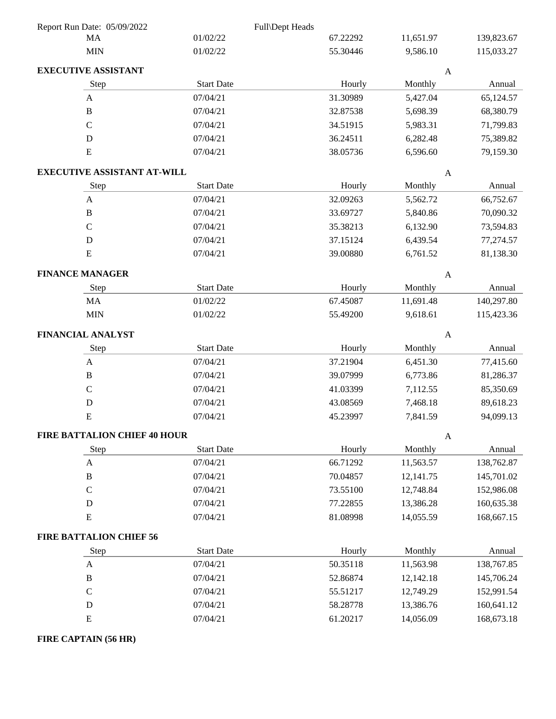| Report Run Date: 05/09/2022         |                   | Full\Dept Heads |                           |            |
|-------------------------------------|-------------------|-----------------|---------------------------|------------|
| MA                                  | 01/02/22          | 67.22292        | 11,651.97                 | 139,823.67 |
| <b>MIN</b>                          | 01/02/22          | 55.30446        | 9,586.10                  | 115,033.27 |
| <b>EXECUTIVE ASSISTANT</b>          |                   |                 | $\mathbf{A}$              |            |
| Step                                | <b>Start Date</b> | Hourly          | Monthly                   | Annual     |
| $\mathbf{A}$                        | 07/04/21          | 31.30989        | 5,427.04                  | 65,124.57  |
| $\, {\bf B}$                        | 07/04/21          | 32.87538        | 5,698.39                  | 68,380.79  |
| $\mathsf C$                         | 07/04/21          | 34.51915        | 5,983.31                  | 71,799.83  |
| D                                   | 07/04/21          | 36.24511        | 6,282.48                  | 75,389.82  |
| E                                   | 07/04/21          | 38.05736        | 6,596.60                  | 79,159.30  |
| <b>EXECUTIVE ASSISTANT AT-WILL</b>  |                   |                 | $\mathbf{A}$              |            |
| Step                                | <b>Start Date</b> | Hourly          | Monthly                   | Annual     |
| $\boldsymbol{\mathsf{A}}$           | 07/04/21          | 32.09263        | 5,562.72                  | 66,752.67  |
| $\, {\bf B}$                        | 07/04/21          | 33.69727        | 5,840.86                  | 70,090.32  |
| $\mathbf C$                         | 07/04/21          | 35.38213        | 6,132.90                  | 73,594.83  |
| $\mathbf D$                         | 07/04/21          | 37.15124        | 6,439.54                  | 77,274.57  |
| ${\bf E}$                           | 07/04/21          | 39.00880        | 6,761.52                  | 81,138.30  |
| <b>FINANCE MANAGER</b>              |                   |                 | $\mathbf{A}$              |            |
| Step                                | <b>Start Date</b> | Hourly          | Monthly                   | Annual     |
| MA                                  | 01/02/22          | 67.45087        | 11,691.48                 | 140,297.80 |
| <b>MIN</b>                          | 01/02/22          | 55.49200        | 9,618.61                  | 115,423.36 |
| FINANCIAL ANALYST                   |                   |                 | $\mathbf{A}$              |            |
| Step                                | <b>Start Date</b> | Hourly          | Monthly                   | Annual     |
| $\boldsymbol{\mathsf{A}}$           | 07/04/21          | 37.21904        | 6,451.30                  | 77,415.60  |
| $\, {\bf B}$                        | 07/04/21          | 39.07999        | 6,773.86                  | 81,286.37  |
| $\mathsf C$                         | 07/04/21          | 41.03399        | 7,112.55                  | 85,350.69  |
| $\mathbf D$                         | 07/04/21          | 43.08569        | 7,468.18                  | 89,618.23  |
| ${\bf E}$                           | 07/04/21          | 45.23997        | 7,841.59                  | 94,099.13  |
| <b>FIRE BATTALION CHIEF 40 HOUR</b> |                   |                 | $\boldsymbol{\mathsf{A}}$ |            |
| Step                                | <b>Start Date</b> | Hourly          | Monthly                   | Annual     |
| $\mathbf{A}$                        | 07/04/21          | 66.71292        | 11,563.57                 | 138,762.87 |
| $\, {\bf B}$                        | 07/04/21          | 70.04857        | 12,141.75                 | 145,701.02 |
| $\mathsf C$                         | 07/04/21          | 73.55100        | 12,748.84                 | 152,986.08 |
| D                                   | 07/04/21          | 77.22855        | 13,386.28                 | 160,635.38 |
| ${\bf E}$                           | 07/04/21          | 81.08998        | 14,055.59                 | 168,667.15 |
| <b>FIRE BATTALION CHIEF 56</b>      |                   |                 |                           |            |
| Step                                | <b>Start Date</b> | Hourly          | Monthly                   | Annual     |
| $\boldsymbol{\mathsf{A}}$           | 07/04/21          | 50.35118        | 11,563.98                 | 138,767.85 |
| $\, {\bf B}$                        | 07/04/21          | 52.86874        | 12,142.18                 | 145,706.24 |
| $\mathbf C$                         | 07/04/21          | 55.51217        | 12,749.29                 | 152,991.54 |
| D                                   | 07/04/21          | 58.28778        | 13,386.76                 | 160,641.12 |
| ${\bf E}$                           | 07/04/21          | 61.20217        | 14,056.09                 | 168,673.18 |
| FIRE CAPTAIN (56 HR)                |                   |                 |                           |            |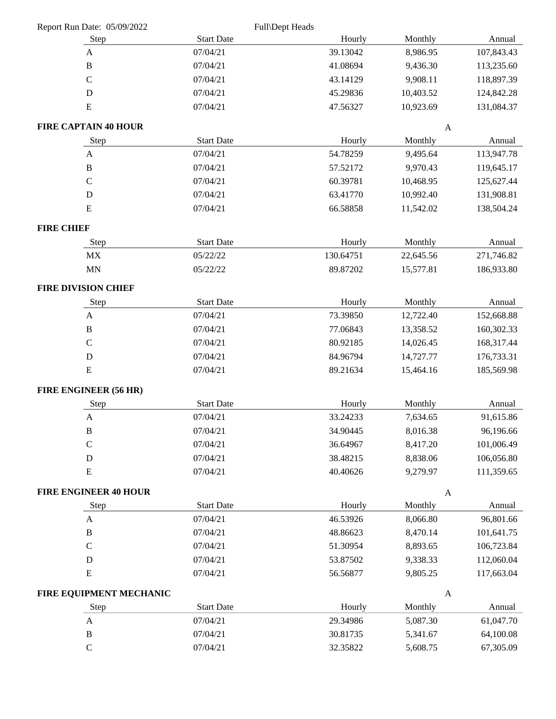|                   | Report Run Date: 05/09/2022  |                   | Full\Dept Heads |              |            |
|-------------------|------------------------------|-------------------|-----------------|--------------|------------|
|                   | Step                         | <b>Start Date</b> | Hourly          | Monthly      | Annual     |
|                   | A                            | 07/04/21          | 39.13042        | 8,986.95     | 107,843.43 |
|                   | $\, {\bf B}$                 | 07/04/21          | 41.08694        | 9,436.30     | 113,235.60 |
|                   | $\mathsf{C}$                 | 07/04/21          | 43.14129        | 9,908.11     | 118,897.39 |
|                   | $\mathbf D$                  | 07/04/21          | 45.29836        | 10,403.52    | 124,842.28 |
|                   | ${\bf E}$                    | 07/04/21          | 47.56327        | 10,923.69    | 131,084.37 |
|                   | <b>FIRE CAPTAIN 40 HOUR</b>  |                   |                 | $\mathbf{A}$ |            |
|                   | Step                         | <b>Start Date</b> | Hourly          | Monthly      | Annual     |
|                   | $\mathbf{A}$                 | 07/04/21          | 54.78259        | 9,495.64     | 113,947.78 |
|                   | $\, {\bf B}$                 | 07/04/21          | 57.52172        | 9,970.43     | 119,645.17 |
|                   | $\mathcal{C}$                | 07/04/21          | 60.39781        | 10,468.95    | 125,627.44 |
|                   | $\mathbf D$                  | 07/04/21          | 63.41770        | 10,992.40    | 131,908.81 |
|                   | ${\bf E}$                    | 07/04/21          | 66.58858        | 11,542.02    | 138,504.24 |
| <b>FIRE CHIEF</b> |                              |                   |                 |              |            |
|                   | Step                         | <b>Start Date</b> | Hourly          | Monthly      | Annual     |
|                   | MX                           | 05/22/22          | 130.64751       | 22,645.56    | 271,746.82 |
|                   | MN                           | 05/22/22          | 89.87202        | 15,577.81    | 186,933.80 |
|                   | <b>FIRE DIVISION CHIEF</b>   |                   |                 |              |            |
|                   | Step                         | <b>Start Date</b> | Hourly          | Monthly      | Annual     |
|                   | $\mathbf{A}$                 | 07/04/21          | 73.39850        | 12,722.40    | 152,668.88 |
|                   | $\, {\bf B}$                 | 07/04/21          | 77.06843        | 13,358.52    | 160,302.33 |
|                   | $\mathbf C$                  | 07/04/21          | 80.92185        | 14,026.45    | 168,317.44 |
|                   | $\mathbf D$                  | 07/04/21          | 84.96794        | 14,727.77    | 176,733.31 |
|                   | ${\bf E}$                    | 07/04/21          | 89.21634        | 15,464.16    | 185,569.98 |
|                   | FIRE ENGINEER (56 HR)        |                   |                 |              |            |
|                   | Step                         | <b>Start Date</b> | Hourly          | Monthly      | Annual     |
|                   | $\mathbf{A}$                 | 07/04/21          | 33.24233        | 7,634.65     | 91,615.86  |
|                   | $\, {\bf B}$                 | 07/04/21          | 34.90445        | 8,016.38     | 96,196.66  |
|                   | $\mathcal{C}$                | 07/04/21          | 36.64967        | 8,417.20     | 101,006.49 |
|                   | ${\rm D}$                    | 07/04/21          | 38.48215        | 8,838.06     | 106,056.80 |
|                   | ${\bf E}$                    | 07/04/21          | 40.40626        | 9,279.97     | 111,359.65 |
|                   | <b>FIRE ENGINEER 40 HOUR</b> |                   |                 | $\mathbf{A}$ |            |
|                   | Step                         | <b>Start Date</b> | Hourly          | Monthly      | Annual     |
|                   | $\mathbf{A}$                 | 07/04/21          | 46.53926        | 8,066.80     | 96,801.66  |
|                   | $\, {\bf B}$                 | 07/04/21          | 48.86623        | 8,470.14     | 101,641.75 |
|                   | $\mathsf C$                  | 07/04/21          | 51.30954        | 8,893.65     | 106,723.84 |
|                   | D                            | 07/04/21          | 53.87502        | 9,338.33     | 112,060.04 |
|                   | ${\bf E}$                    | 07/04/21          | 56.56877        | 9,805.25     | 117,663.04 |
|                   | FIRE EQUIPMENT MECHANIC      |                   |                 | $\mathbf{A}$ |            |
|                   | Step                         | <b>Start Date</b> | Hourly          | Monthly      | Annual     |
|                   | $\boldsymbol{\mathsf{A}}$    | 07/04/21          | 29.34986        | 5,087.30     | 61,047.70  |
|                   | $\, {\bf B}$                 | 07/04/21          | 30.81735        | 5,341.67     | 64,100.08  |
|                   | $\mathsf C$                  | 07/04/21          | 32.35822        | 5,608.75     | 67,305.09  |
|                   |                              |                   |                 |              |            |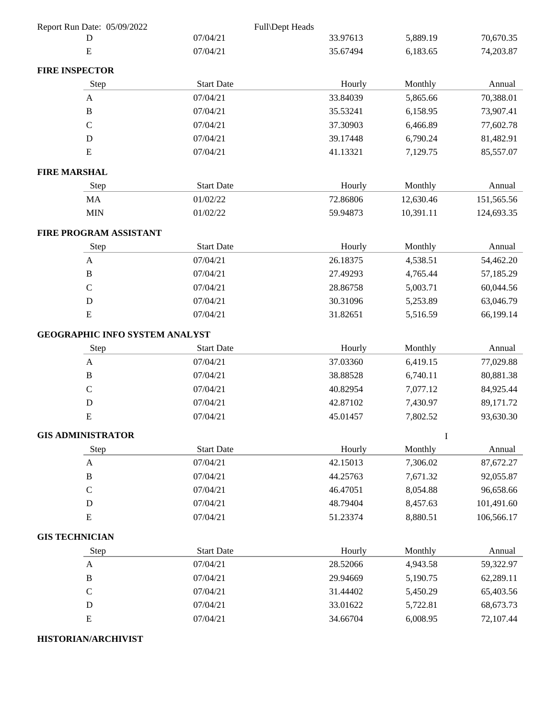| Report Run Date: 05/09/2022           |                   | Full\Dept Heads |             |            |
|---------------------------------------|-------------------|-----------------|-------------|------------|
| D                                     | 07/04/21          | 33.97613        | 5,889.19    | 70,670.35  |
| ${\bf E}$                             | 07/04/21          | 35.67494        | 6,183.65    | 74,203.87  |
| <b>FIRE INSPECTOR</b>                 |                   |                 |             |            |
| Step                                  | <b>Start Date</b> | Hourly          | Monthly     | Annual     |
| A                                     | 07/04/21          | 33.84039        | 5,865.66    | 70,388.01  |
| $\, {\bf B}$                          | 07/04/21          | 35.53241        | 6,158.95    | 73,907.41  |
| $\mathcal{C}$                         | 07/04/21          | 37.30903        | 6,466.89    | 77,602.78  |
| D                                     | 07/04/21          | 39.17448        | 6,790.24    | 81,482.91  |
| ${\bf E}$                             | 07/04/21          | 41.13321        | 7,129.75    | 85,557.07  |
| <b>FIRE MARSHAL</b>                   |                   |                 |             |            |
| Step                                  | <b>Start Date</b> | Hourly          | Monthly     | Annual     |
| MA                                    | 01/02/22          | 72.86806        | 12,630.46   | 151,565.56 |
| <b>MIN</b>                            | 01/02/22          | 59.94873        | 10,391.11   | 124,693.35 |
| FIRE PROGRAM ASSISTANT                |                   |                 |             |            |
| Step                                  | <b>Start Date</b> | Hourly          | Monthly     | Annual     |
| $\mathbf{A}$                          | 07/04/21          | 26.18375        | 4,538.51    | 54,462.20  |
| $\, {\bf B}$                          | 07/04/21          | 27.49293        | 4,765.44    | 57,185.29  |
| $\mathbf C$                           | 07/04/21          | 28.86758        | 5,003.71    | 60,044.56  |
| D                                     | 07/04/21          | 30.31096        | 5,253.89    | 63,046.79  |
| ${\bf E}$                             | 07/04/21          | 31.82651        | 5,516.59    | 66,199.14  |
| <b>GEOGRAPHIC INFO SYSTEM ANALYST</b> |                   |                 |             |            |
| Step                                  | <b>Start Date</b> | Hourly          | Monthly     | Annual     |
| $\mathbf{A}$                          | 07/04/21          | 37.03360        | 6,419.15    | 77,029.88  |
| $\, {\bf B}$                          | 07/04/21          | 38.88528        | 6,740.11    | 80,881.38  |
| $\mathsf C$                           | 07/04/21          | 40.82954        | 7,077.12    | 84,925.44  |
| $\mathbf D$                           | 07/04/21          | 42.87102        | 7,430.97    | 89,171.72  |
| ${\bf E}$                             | 07/04/21          | 45.01457        | 7,802.52    | 93,630.30  |
| <b>GIS ADMINISTRATOR</b>              |                   |                 | $\mathbf I$ |            |
| Step                                  | <b>Start Date</b> | Hourly          | Monthly     | Annual     |
| A                                     | 07/04/21          | 42.15013        | 7,306.02    | 87,672.27  |
| $\, {\bf B}$                          | 07/04/21          | 44.25763        | 7,671.32    | 92,055.87  |
| $\mathcal{C}$                         | 07/04/21          | 46.47051        | 8,054.88    | 96,658.66  |
| D                                     | 07/04/21          | 48.79404        | 8,457.63    | 101,491.60 |
| ${\bf E}$                             | 07/04/21          | 51.23374        | 8,880.51    | 106,566.17 |
| <b>GIS TECHNICIAN</b>                 |                   |                 |             |            |
| Step                                  | <b>Start Date</b> | Hourly          | Monthly     | Annual     |
| $\boldsymbol{\mathsf{A}}$             | 07/04/21          | 28.52066        | 4,943.58    | 59,322.97  |
| $\, {\bf B}$                          | 07/04/21          | 29.94669        | 5,190.75    | 62,289.11  |
| $\mathcal{C}$                         | 07/04/21          | 31.44402        | 5,450.29    | 65,403.56  |
| $\mathbf D$                           | 07/04/21          | 33.01622        | 5,722.81    | 68,673.73  |
| ${\bf E}$                             | 07/04/21          | 34.66704        | 6,008.95    | 72,107.44  |
| <b>HISTORIAN/ARCHIVIST</b>            |                   |                 |             |            |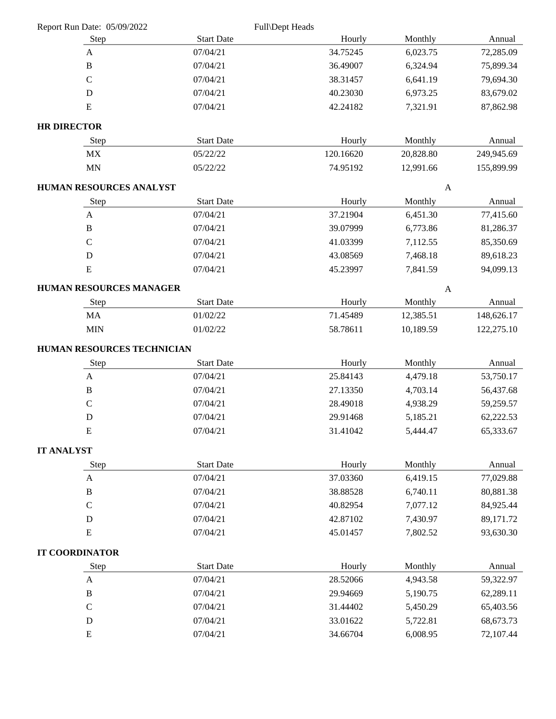|                    |                                |                   | Full\Dept Heads |              |            |
|--------------------|--------------------------------|-------------------|-----------------|--------------|------------|
|                    | Step                           | <b>Start Date</b> | Hourly          | Monthly      | Annual     |
|                    | A                              | 07/04/21          | 34.75245        | 6,023.75     | 72,285.09  |
|                    | $\, {\bf B}$                   | 07/04/21          | 36.49007        | 6,324.94     | 75,899.34  |
|                    | $\mathbf C$                    | 07/04/21          | 38.31457        | 6,641.19     | 79,694.30  |
|                    | $\mathbf D$                    | 07/04/21          | 40.23030        | 6,973.25     | 83,679.02  |
|                    | ${\bf E}$                      | 07/04/21          | 42.24182        | 7,321.91     | 87,862.98  |
| <b>HR DIRECTOR</b> |                                |                   |                 |              |            |
|                    | Step                           | <b>Start Date</b> | Hourly          | Monthly      | Annual     |
|                    | MX                             | 05/22/22          | 120.16620       | 20,828.80    | 249,945.69 |
|                    | MN                             | 05/22/22          | 74.95192        | 12,991.66    | 155,899.99 |
|                    | <b>HUMAN RESOURCES ANALYST</b> |                   |                 | $\mathbf{A}$ |            |
|                    | Step                           | <b>Start Date</b> | Hourly          | Monthly      | Annual     |
|                    | A                              | 07/04/21          | 37.21904        | 6,451.30     | 77,415.60  |
|                    | $\, {\bf B}$                   | 07/04/21          | 39.07999        | 6,773.86     | 81,286.37  |
|                    | $\mathbf C$                    | 07/04/21          | 41.03399        | 7,112.55     | 85,350.69  |
|                    | $\mathbf D$                    | 07/04/21          | 43.08569        | 7,468.18     | 89,618.23  |
|                    | E                              | 07/04/21          | 45.23997        | 7,841.59     | 94,099.13  |
|                    | HUMAN RESOURCES MANAGER        |                   |                 | $\mathbf{A}$ |            |
|                    | Step                           | <b>Start Date</b> | Hourly          | Monthly      | Annual     |
|                    | MA                             | 01/02/22          | 71.45489        | 12,385.51    | 148,626.17 |
|                    | <b>MIN</b>                     | 01/02/22          | 58.78611        | 10,189.59    | 122,275.10 |
|                    |                                |                   |                 |              |            |
|                    |                                |                   |                 |              |            |
|                    | HUMAN RESOURCES TECHNICIAN     | <b>Start Date</b> | Hourly          | Monthly      | Annual     |
|                    | <b>Step</b><br>$\mathbf{A}$    | 07/04/21          | 25.84143        | 4,479.18     | 53,750.17  |
|                    | $\, {\bf B}$                   | 07/04/21          | 27.13350        | 4,703.14     | 56,437.68  |
|                    | $\mathsf C$                    | 07/04/21          | 28.49018        | 4,938.29     | 59,259.57  |
|                    | $\mathbf D$                    | 07/04/21          | 29.91468        | 5,185.21     | 62,222.53  |
|                    | ${\bf E}$                      | 07/04/21          | 31.41042        | 5,444.47     | 65,333.67  |
|                    |                                |                   |                 |              |            |
| <b>IT ANALYST</b>  | Step                           | <b>Start Date</b> | Hourly          | Monthly      | Annual     |
|                    | $\boldsymbol{\mathsf{A}}$      | 07/04/21          | 37.03360        | 6,419.15     | 77,029.88  |
|                    | $\, {\bf B}$                   | 07/04/21          | 38.88528        | 6,740.11     | 80,881.38  |
|                    | ${\bf C}$                      | 07/04/21          | 40.82954        | 7,077.12     | 84,925.44  |
|                    | ${\bf D}$                      | 07/04/21          | 42.87102        | 7,430.97     | 89,171.72  |
|                    | ${\bf E}$                      | 07/04/21          | 45.01457        | 7,802.52     | 93,630.30  |
|                    |                                |                   |                 |              |            |
|                    | <b>IT COORDINATOR</b><br>Step  | <b>Start Date</b> | Hourly          | Monthly      | Annual     |
|                    | A                              | 07/04/21          | 28.52066        | 4,943.58     | 59,322.97  |
|                    | $\, {\bf B}$                   | 07/04/21          | 29.94669        | 5,190.75     | 62,289.11  |
|                    | $\mathsf C$                    | 07/04/21          | 31.44402        | 5,450.29     | 65,403.56  |
|                    | $\mathbf D$                    | 07/04/21          | 33.01622        | 5,722.81     | 68,673.73  |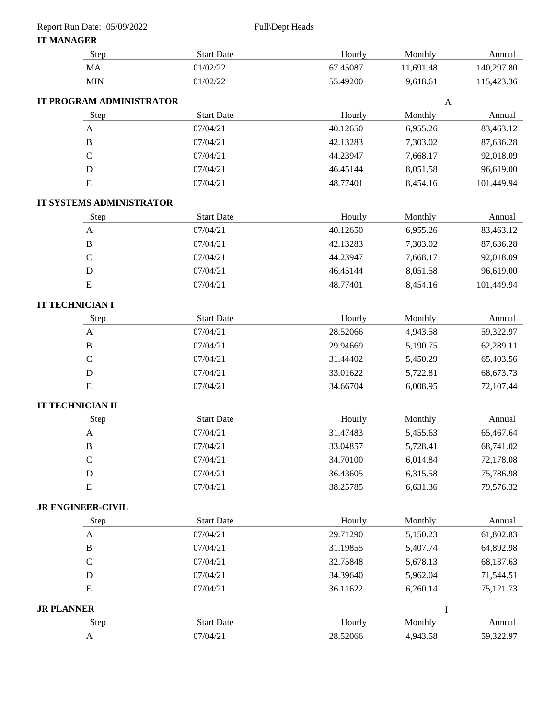| Report Run Date: 05/09/2022 |                   | Full\Dept Heads |              |            |
|-----------------------------|-------------------|-----------------|--------------|------------|
| <b>IT MANAGER</b>           |                   |                 |              |            |
| <b>Step</b>                 | <b>Start Date</b> | Hourly          | Monthly      | Annual     |
| <b>MA</b>                   | 01/02/22          | 67.45087        | 11,691.48    | 140,297.80 |
| <b>MIN</b>                  | 01/02/22          | 55.49200        | 9,618.61     | 115,423.36 |
| IT PROGRAM ADMINISTRATOR    |                   |                 | $\mathbf{A}$ |            |
| Step                        | <b>Start Date</b> | Hourly          | Monthly      | Annual     |
| $\mathbf{A}$                | 07/04/21          | 40.12650        | 6,955.26     | 83,463.12  |
| $\, {\bf B}$                | 07/04/21          | 42.13283        | 7,303.02     | 87,636.28  |
| $\mathbf C$                 | 07/04/21          | 44.23947        | 7,668.17     | 92,018.09  |
| ${\bf D}$                   | 07/04/21          | 46.45144        | 8,051.58     | 96,619.00  |
| ${\bf E}$                   | 07/04/21          | 48.77401        | 8,454.16     | 101,449.94 |
| IT SYSTEMS ADMINISTRATOR    |                   |                 |              |            |
| Step                        | <b>Start Date</b> | Hourly          | Monthly      | Annual     |
| $\mathbf{A}$                | 07/04/21          | 40.12650        | 6,955.26     | 83,463.12  |
| $\, {\bf B}$                | 07/04/21          | 42.13283        | 7,303.02     | 87,636.28  |
| $\mathbf C$                 | 07/04/21          | 44.23947        | 7,668.17     | 92,018.09  |
| $\mathbf D$                 | 07/04/21          | 46.45144        | 8,051.58     | 96,619.00  |
| ${\bf E}$                   | 07/04/21          | 48.77401        | 8,454.16     | 101,449.94 |
| IT TECHNICIAN I             |                   |                 |              |            |
| Step                        | <b>Start Date</b> | Hourly          | Monthly      | Annual     |
| $\mathbf{A}$                | 07/04/21          | 28.52066        | 4,943.58     | 59,322.97  |
| $\, {\bf B}$                | 07/04/21          | 29.94669        | 5,190.75     | 62,289.11  |
| $\mathcal{C}$               | 07/04/21          | 31.44402        | 5,450.29     | 65,403.56  |
| $\mathbf D$                 | 07/04/21          | 33.01622        | 5,722.81     | 68,673.73  |
| ${\bf E}$                   | 07/04/21          | 34.66704        | 6,008.95     | 72,107.44  |
| <b>IT TECHNICIAN II</b>     |                   |                 |              |            |
| Step                        | <b>Start Date</b> | Hourly          | Monthly      | Annual     |
| $\mathbf{A}$                | 07/04/21          | 31.47483        | 5,455.63     | 65,467.64  |
| $\, {\bf B}$                | 07/04/21          | 33.04857        | 5,728.41     | 68,741.02  |
| ${\bf C}$                   | 07/04/21          | 34.70100        | 6,014.84     | 72,178.08  |
| $\mathbf D$                 | 07/04/21          | 36.43605        | 6,315.58     | 75,786.98  |
| ${\bf E}$                   | 07/04/21          | 38.25785        | 6,631.36     | 79,576.32  |
| <b>JR ENGINEER-CIVIL</b>    |                   |                 |              |            |
| Step                        | <b>Start Date</b> | Hourly          | Monthly      | Annual     |
| $\mathbf{A}$                | 07/04/21          | 29.71290        | 5,150.23     | 61,802.83  |
| $\, {\bf B}$                | 07/04/21          | 31.19855        | 5,407.74     | 64,892.98  |
| $\mathbf C$                 | 07/04/21          | 32.75848        | 5,678.13     | 68,137.63  |
| ${\bf D}$                   | 07/04/21          | 34.39640        | 5,962.04     | 71,544.51  |
| E                           | 07/04/21          | 36.11622        | 6,260.14     | 75,121.73  |
| <b>JR PLANNER</b>           |                   |                 | $\mathbf I$  |            |
| Step                        | <b>Start Date</b> | Hourly          | Monthly      | Annual     |
| $\mathbf{A}$                | 07/04/21          | 28.52066        | 4,943.58     | 59,322.97  |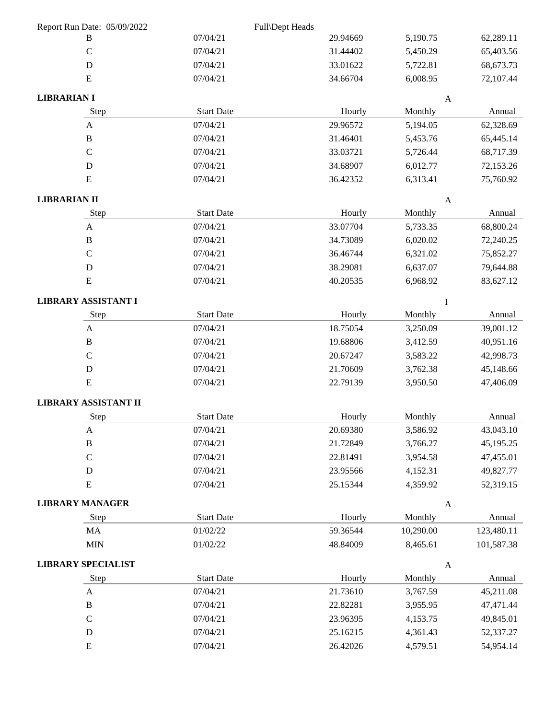| Report Run Date: 05/09/2022 |                   | Full\Dept Heads |                           |            |
|-----------------------------|-------------------|-----------------|---------------------------|------------|
| B                           | 07/04/21          | 29.94669        | 5,190.75                  | 62,289.11  |
| $\mathcal{C}$               | 07/04/21          | 31.44402        | 5,450.29                  | 65,403.56  |
| ${\bf D}$                   | 07/04/21          | 33.01622        | 5,722.81                  | 68,673.73  |
| ${\bf E}$                   | 07/04/21          | 34.66704        | 6,008.95                  | 72,107.44  |
| <b>LIBRARIAN I</b>          |                   |                 | $\mathbf{A}$              |            |
| Step                        | <b>Start Date</b> | Hourly          | Monthly                   | Annual     |
| $\mathbf{A}$                | 07/04/21          | 29.96572        | 5,194.05                  | 62,328.69  |
| $\bf{B}$                    | 07/04/21          | 31.46401        | 5,453.76                  | 65,445.14  |
| $\mathbf C$                 | 07/04/21          | 33.03721        | 5,726.44                  | 68,717.39  |
| D                           | 07/04/21          | 34.68907        | 6,012.77                  | 72,153.26  |
| ${\bf E}$                   | 07/04/21          | 36.42352        | 6,313.41                  | 75,760.92  |
| <b>LIBRARIAN II</b>         |                   |                 | $\boldsymbol{A}$          |            |
| Step                        | <b>Start Date</b> | Hourly          | Monthly                   | Annual     |
| $\boldsymbol{A}$            | 07/04/21          | 33.07704        | 5,733.35                  | 68,800.24  |
| $\, {\bf B}$                | 07/04/21          | 34.73089        | 6,020.02                  | 72,240.25  |
| $\mathcal{C}$               | 07/04/21          | 36.46744        | 6,321.02                  | 75,852.27  |
| ${\bf D}$                   | 07/04/21          | 38.29081        | 6,637.07                  | 79,644.88  |
| ${\bf E}$                   | 07/04/21          | 40.20535        | 6,968.92                  | 83,627.12  |
| <b>LIBRARY ASSISTANT I</b>  |                   |                 | I                         |            |
| Step                        | <b>Start Date</b> | Hourly          | Monthly                   | Annual     |
| $\mathbf{A}$                | 07/04/21          | 18.75054        | 3,250.09                  | 39,001.12  |
| $\mathbf B$                 | 07/04/21          | 19.68806        | 3,412.59                  | 40,951.16  |
| $\mathbf C$                 | 07/04/21          | 20.67247        | 3,583.22                  | 42,998.73  |
| ${\bf D}$                   | 07/04/21          | 21.70609        | 3,762.38                  | 45,148.66  |
| ${\bf E}$                   | 07/04/21          | 22.79139        | 3,950.50                  | 47,406.09  |
| LIBRARY ASSISTANT II        |                   |                 |                           |            |
| Step                        | <b>Start Date</b> | Hourly          | Monthly                   | Annual     |
| $\boldsymbol{A}$            | 07/04/21          | 20.69380        | 3,586.92                  | 43,043.10  |
| $\, {\bf B}$                | 07/04/21          | 21.72849        | 3,766.27                  | 45,195.25  |
| $\mathsf{C}$                | 07/04/21          | 22.81491        | 3,954.58                  | 47,455.01  |
| ${\bf D}$                   | 07/04/21          | 23.95566        | 4,152.31                  | 49,827.77  |
| ${\bf E}$                   | 07/04/21          | 25.15344        | 4,359.92                  | 52,319.15  |
| <b>LIBRARY MANAGER</b>      |                   |                 | $\boldsymbol{\mathsf{A}}$ |            |
| Step                        | Start Date        | Hourly          | Monthly                   | Annual     |
| MA                          | 01/02/22          | 59.36544        | 10,290.00                 | 123,480.11 |
| <b>MIN</b>                  | 01/02/22          | 48.84009        | 8,465.61                  | 101,587.38 |
| <b>LIBRARY SPECIALIST</b>   |                   |                 | $\boldsymbol{\mathsf{A}}$ |            |
| Step                        | <b>Start Date</b> | Hourly          | Monthly                   | Annual     |
| $\mathbf{A}$                | 07/04/21          | 21.73610        | 3,767.59                  | 45,211.08  |
| $\, {\bf B}$                | 07/04/21          | 22.82281        | 3,955.95                  | 47,471.44  |
| $\mathbf C$                 | 07/04/21          | 23.96395        | 4,153.75                  | 49,845.01  |
| ${\bf D}$                   | 07/04/21          | 25.16215        | 4,361.43                  | 52,337.27  |
| ${\bf E}$                   | 07/04/21          | 26.42026        | 4,579.51                  | 54,954.14  |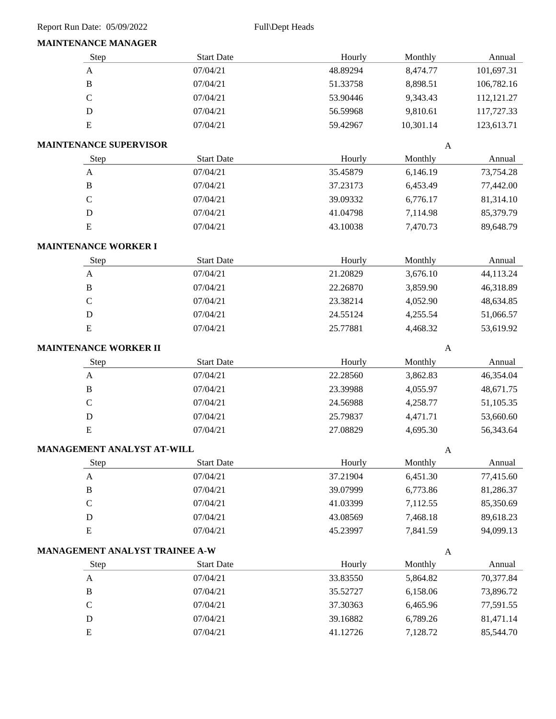#### **MAINTENANCE MANAGER**

| MAIN LENANCE MANAGER              |                   |          |              |            |
|-----------------------------------|-------------------|----------|--------------|------------|
| Step                              | <b>Start Date</b> | Hourly   | Monthly      | Annual     |
| $\boldsymbol{\mathsf{A}}$         | 07/04/21          | 48.89294 | 8,474.77     | 101,697.31 |
| $\, {\bf B}$                      | 07/04/21          | 51.33758 | 8,898.51     | 106,782.16 |
| $\mathsf C$                       | 07/04/21          | 53.90446 | 9,343.43     | 112,121.27 |
| $\mathbf D$                       | 07/04/21          | 56.59968 | 9,810.61     | 117,727.33 |
| ${\bf E}$                         | 07/04/21          | 59.42967 | 10,301.14    | 123,613.71 |
| <b>MAINTENANCE SUPERVISOR</b>     |                   |          | A            |            |
| Step                              | <b>Start Date</b> | Hourly   | Monthly      | Annual     |
| $\boldsymbol{\mathsf{A}}$         | 07/04/21          | 35.45879 | 6,146.19     | 73,754.28  |
| $\, {\bf B}$                      | 07/04/21          | 37.23173 | 6,453.49     | 77,442.00  |
| $\mathsf C$                       | 07/04/21          | 39.09332 | 6,776.17     | 81,314.10  |
| ${\bf D}$                         | 07/04/21          | 41.04798 | 7,114.98     | 85,379.79  |
| ${\bf E}$                         | 07/04/21          | 43.10038 | 7,470.73     | 89,648.79  |
| <b>MAINTENANCE WORKER I</b>       |                   |          |              |            |
| Step                              | <b>Start Date</b> | Hourly   | Monthly      | Annual     |
| $\boldsymbol{\mathsf{A}}$         | 07/04/21          | 21.20829 | 3,676.10     | 44,113.24  |
| $\, {\bf B}$                      | 07/04/21          | 22.26870 | 3,859.90     | 46,318.89  |
| $\mathbf C$                       | 07/04/21          | 23.38214 | 4,052.90     | 48,634.85  |
| ${\bf D}$                         | 07/04/21          | 24.55124 | 4,255.54     | 51,066.57  |
| ${\bf E}$                         | 07/04/21          | 25.77881 | 4,468.32     | 53,619.92  |
| MAINTENANCE WORKER II             |                   |          | $\mathbf{A}$ |            |
| Step                              | <b>Start Date</b> | Hourly   | Monthly      | Annual     |
| $\mathbf A$                       | 07/04/21          | 22.28560 | 3,862.83     | 46,354.04  |
| $\, {\bf B}$                      | 07/04/21          | 23.39988 | 4,055.97     | 48,671.75  |
| $\mathsf C$                       | 07/04/21          | 24.56988 | 4,258.77     | 51,105.35  |
| ${\rm D}$                         | 07/04/21          | 25.79837 | 4,471.71     | 53,660.60  |
| ${\bf E}$                         | 07/04/21          | 27.08829 | 4,695.30     | 56,343.64  |
| <b>MANAGEMENT ANALYST AT-WILL</b> |                   |          | A            |            |
| Step                              | <b>Start Date</b> | Hourly   | Monthly      | Annual     |
| $\mathbf{A}$                      | 07/04/21          | 37.21904 | 6,451.30     | 77,415.60  |
| $\, {\bf B}$                      | 07/04/21          | 39.07999 | 6,773.86     | 81,286.37  |
| $\mathbf C$                       | 07/04/21          | 41.03399 | 7,112.55     | 85,350.69  |
| ${\bf D}$                         | 07/04/21          | 43.08569 | 7,468.18     | 89,618.23  |
| ${\bf E}$                         | 07/04/21          | 45.23997 | 7,841.59     | 94,099.13  |
| MANAGEMENT ANALYST TRAINEE A-W    |                   |          | $\mathbf{A}$ |            |
| Step                              | <b>Start Date</b> | Hourly   | Monthly      | Annual     |
| $\boldsymbol{A}$                  | 07/04/21          | 33.83550 | 5,864.82     | 70,377.84  |
| $\, {\bf B}$                      | 07/04/21          | 35.52727 | 6,158.06     | 73,896.72  |
| $\mathbf C$                       | 07/04/21          | 37.30363 | 6,465.96     | 77,591.55  |
| ${\bf D}$                         | 07/04/21          | 39.16882 | 6,789.26     | 81,471.14  |
| ${\bf E}$                         | 07/04/21          | 41.12726 | 7,128.72     | 85,544.70  |
|                                   |                   |          |              |            |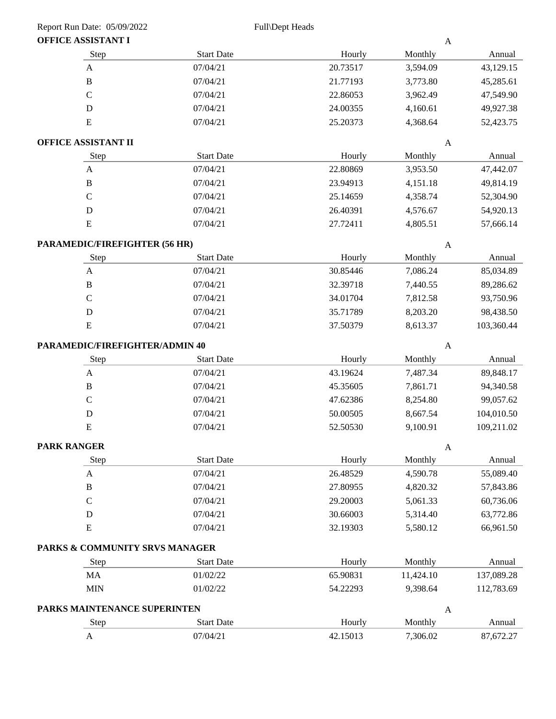| OFFICE ASSISTANT I             |                   |          | $\boldsymbol{A}$ |            |
|--------------------------------|-------------------|----------|------------------|------------|
| Step                           | <b>Start Date</b> | Hourly   | Monthly          | Annual     |
| $\mathbf{A}$                   | 07/04/21          | 20.73517 | 3,594.09         | 43,129.15  |
| $\, {\bf B}$                   | 07/04/21          | 21.77193 | 3,773.80         | 45,285.61  |
| $\mathbf C$                    | 07/04/21          | 22.86053 | 3,962.49         | 47,549.90  |
| $\mathbf D$                    | 07/04/21          | 24.00355 | 4,160.61         | 49,927.38  |
| E                              | 07/04/21          | 25.20373 | 4,368.64         | 52,423.75  |
| OFFICE ASSISTANT II            |                   |          | $\mathbf{A}$     |            |
| Step                           | <b>Start Date</b> | Hourly   | Monthly          | Annual     |
| $\mathbf{A}$                   | 07/04/21          | 22.80869 | 3,953.50         | 47,442.07  |
| $\, {\bf B}$                   | 07/04/21          | 23.94913 | 4,151.18         | 49,814.19  |
| $\mathbf C$                    | 07/04/21          | 25.14659 | 4,358.74         | 52,304.90  |
| $\mathbf D$                    | 07/04/21          | 26.40391 | 4,576.67         | 54,920.13  |
| ${\bf E}$                      | 07/04/21          | 27.72411 | 4,805.51         | 57,666.14  |
| PARAMEDIC/FIREFIGHTER (56 HR)  |                   |          | $\mathbf{A}$     |            |
| Step                           | <b>Start Date</b> | Hourly   | Monthly          | Annual     |
| $\boldsymbol{A}$               | 07/04/21          | 30.85446 | 7,086.24         | 85,034.89  |
| $\, {\bf B}$                   | 07/04/21          | 32.39718 | 7,440.55         | 89,286.62  |
| $\mathbf C$                    | 07/04/21          | 34.01704 | 7,812.58         | 93,750.96  |
| $\mathbf D$                    | 07/04/21          | 35.71789 | 8,203.20         | 98,438.50  |
| ${\bf E}$                      | 07/04/21          | 37.50379 | 8,613.37         | 103,360.44 |
| PARAMEDIC/FIREFIGHTER/ADMIN 40 |                   |          | $\boldsymbol{A}$ |            |
| Step                           | <b>Start Date</b> | Hourly   | Monthly          | Annual     |
| $\mathbf{A}$                   | 07/04/21          | 43.19624 | 7,487.34         | 89,848.17  |
| $\, {\bf B}$                   | 07/04/21          | 45.35605 | 7,861.71         | 94,340.58  |
| $\mathbf C$                    | 07/04/21          | 47.62386 | 8,254.80         | 99,057.62  |
| $\mathbf D$                    | 07/04/21          | 50.00505 | 8,667.54         | 104,010.50 |
| ${\bf E}$                      | 07/04/21          | 52.50530 | 9,100.91         | 109,211.02 |
| <b>PARK RANGER</b>             |                   |          | A                |            |
| Step                           | <b>Start Date</b> | Hourly   | Monthly          | Annual     |
| A                              | 07/04/21          | 26.48529 | 4,590.78         | 55,089.40  |
| $\, {\bf B}$                   | 07/04/21          | 27.80955 | 4,820.32         | 57,843.86  |
| $\mathbf C$                    | 07/04/21          | 29.20003 | 5,061.33         | 60,736.06  |
| D                              | 07/04/21          | 30.66003 | 5,314.40         | 63,772.86  |
| ${\bf E}$                      | 07/04/21          | 32.19303 | 5,580.12         | 66,961.50  |
| PARKS & COMMUNITY SRVS MANAGER |                   |          |                  |            |
| Step                           | <b>Start Date</b> | Hourly   | Monthly          | Annual     |
| MA                             | 01/02/22          | 65.90831 | 11,424.10        | 137,089.28 |
| <b>MIN</b>                     | 01/02/22          | 54.22293 | 9,398.64         | 112,783.69 |
| PARKS MAINTENANCE SUPERINTEN   |                   |          | $\mathbf{A}$     |            |
| Step                           | <b>Start Date</b> | Hourly   | Monthly          | Annual     |
| $\mathbf{A}$                   | 07/04/21          | 42.15013 | 7,306.02         | 87,672.27  |
|                                |                   |          |                  |            |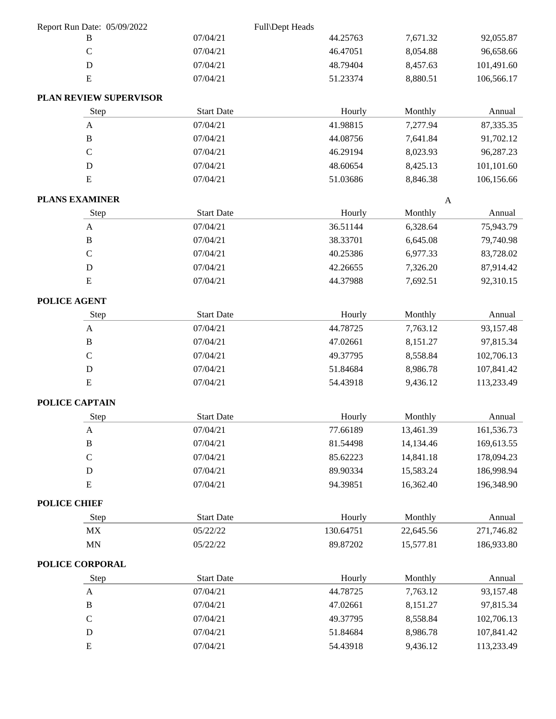| Report Run Date: 05/09/2022     |                   | Full\Dept Heads |                  |            |
|---------------------------------|-------------------|-----------------|------------------|------------|
| B                               | 07/04/21          | 44.25763        | 7,671.32         | 92,055.87  |
| $\mathbf C$                     | 07/04/21          | 46.47051        | 8,054.88         | 96,658.66  |
| D                               | 07/04/21          | 48.79404        | 8,457.63         | 101,491.60 |
| ${\bf E}$                       | 07/04/21          | 51.23374        | 8,880.51         | 106,566.17 |
| PLAN REVIEW SUPERVISOR          |                   |                 |                  |            |
| Step                            | <b>Start Date</b> | Hourly          | Monthly          | Annual     |
| $\mathbf{A}$                    | 07/04/21          | 41.98815        | 7,277.94         | 87,335.35  |
| $\, {\bf B}$                    | 07/04/21          | 44.08756        | 7,641.84         | 91,702.12  |
| $\mathsf C$                     | 07/04/21          | 46.29194        | 8,023.93         | 96,287.23  |
| $\mathbf D$                     | 07/04/21          | 48.60654        | 8,425.13         | 101,101.60 |
| ${\bf E}$                       | 07/04/21          | 51.03686        | 8,846.38         | 106,156.66 |
| <b>PLANS EXAMINER</b>           |                   |                 | $\boldsymbol{A}$ |            |
| Step                            | <b>Start Date</b> | Hourly          | Monthly          | Annual     |
| A                               | 07/04/21          | 36.51144        | 6,328.64         | 75,943.79  |
| $\, {\bf B}$                    | 07/04/21          | 38.33701        | 6,645.08         | 79,740.98  |
| $\mathbf C$                     | 07/04/21          | 40.25386        | 6,977.33         | 83,728.02  |
| D                               | 07/04/21          | 42.26655        | 7,326.20         | 87,914.42  |
| ${\bf E}$                       | 07/04/21          | 44.37988        | 7,692.51         | 92,310.15  |
| POLICE AGENT                    |                   |                 |                  |            |
| Step                            | <b>Start Date</b> | Hourly          | Monthly          | Annual     |
| $\mathbf{A}$                    | 07/04/21          | 44.78725        | 7,763.12         | 93,157.48  |
| $\, {\bf B}$                    | 07/04/21          | 47.02661        | 8,151.27         | 97,815.34  |
| $\mathsf C$                     | 07/04/21          | 49.37795        | 8,558.84         | 102,706.13 |
| D                               | 07/04/21          | 51.84684        | 8,986.78         | 107,841.42 |
| ${\bf E}$                       | 07/04/21          | 54.43918        | 9,436.12         | 113,233.49 |
| POLICE CAPTAIN                  |                   |                 |                  |            |
| Step                            | <b>Start Date</b> | Hourly          | Monthly          | Annual     |
| A                               | 07/04/21          | 77.66189        | 13,461.39        | 161,536.73 |
| $\, {\bf B}$                    | 07/04/21          | 81.54498        | 14,134.46        | 169,613.55 |
| $\mathsf C$                     | 07/04/21          | 85.62223        | 14,841.18        | 178,094.23 |
| ${\bf D}$                       | 07/04/21          | 89.90334        | 15,583.24        | 186,998.94 |
| ${\bf E}$                       | 07/04/21          | 94.39851        | 16,362.40        | 196,348.90 |
| <b>POLICE CHIEF</b>             |                   |                 |                  |            |
| Step                            | <b>Start Date</b> | Hourly          | Monthly          | Annual     |
| $\ensuremath{\text{MX}}\xspace$ | 05/22/22          | 130.64751       | 22,645.56        | 271,746.82 |
| $\text{MN}$                     | 05/22/22          | 89.87202        | 15,577.81        | 186,933.80 |
| POLICE CORPORAL                 |                   |                 |                  |            |
| Step                            | <b>Start Date</b> | Hourly          | Monthly          | Annual     |
| $\mathbf{A}$                    | 07/04/21          | 44.78725        | 7,763.12         | 93,157.48  |
| $\, {\bf B}$                    | 07/04/21          | 47.02661        | 8,151.27         | 97,815.34  |
| $\mathsf C$                     | 07/04/21          | 49.37795        | 8,558.84         | 102,706.13 |
| ${\bf D}$                       | 07/04/21          | 51.84684        | 8,986.78         | 107,841.42 |
| ${\bf E}$                       | 07/04/21          | 54.43918        | 9,436.12         | 113,233.49 |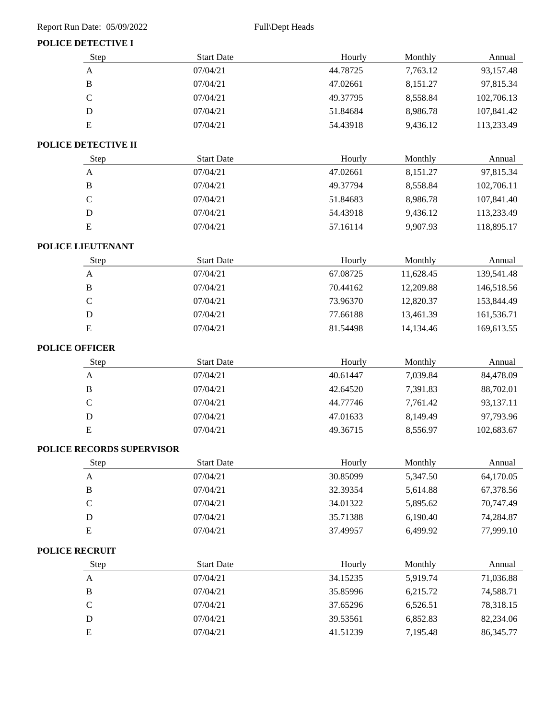### **POLICE DETECTIVE I**

| Step                      | <b>Start Date</b> | Hourly   | Monthly   | Annual      |
|---------------------------|-------------------|----------|-----------|-------------|
| $\mathbf{A}$              | 07/04/21          | 44.78725 | 7,763.12  | 93,157.48   |
| $\, {\bf B}$              | 07/04/21          | 47.02661 | 8,151.27  | 97,815.34   |
| $\mathcal{C}$             | 07/04/21          | 49.37795 | 8,558.84  | 102,706.13  |
| $\mathbf D$               | 07/04/21          | 51.84684 | 8,986.78  | 107,841.42  |
| ${\bf E}$                 | 07/04/21          | 54.43918 | 9,436.12  | 113,233.49  |
| POLICE DETECTIVE II       |                   |          |           |             |
| Step                      | <b>Start Date</b> | Hourly   | Monthly   | Annual      |
| $\mathbf{A}$              | 07/04/21          | 47.02661 | 8,151.27  | 97,815.34   |
| $\, {\bf B}$              | 07/04/21          | 49.37794 | 8,558.84  | 102,706.11  |
| $\mathbf C$               | 07/04/21          | 51.84683 | 8,986.78  | 107,841.40  |
| $\mathbf D$               | 07/04/21          | 54.43918 | 9,436.12  | 113,233.49  |
| ${\bf E}$                 | 07/04/21          | 57.16114 | 9,907.93  | 118,895.17  |
| POLICE LIEUTENANT         |                   |          |           |             |
| Step                      | <b>Start Date</b> | Hourly   | Monthly   | Annual      |
| $\mathbf{A}$              | 07/04/21          | 67.08725 | 11,628.45 | 139,541.48  |
| $\, {\bf B}$              | 07/04/21          | 70.44162 | 12,209.88 | 146,518.56  |
| $\mathsf{C}$              | 07/04/21          | 73.96370 | 12,820.37 | 153,844.49  |
| $\mathbf D$               | 07/04/21          | 77.66188 | 13,461.39 | 161,536.71  |
| ${\bf E}$                 | 07/04/21          | 81.54498 | 14,134.46 | 169,613.55  |
| <b>POLICE OFFICER</b>     |                   |          |           |             |
| Step                      | <b>Start Date</b> | Hourly   | Monthly   | Annual      |
| $\mathbf{A}$              | 07/04/21          | 40.61447 | 7,039.84  | 84,478.09   |
| $\, {\bf B}$              | 07/04/21          | 42.64520 | 7,391.83  | 88,702.01   |
| $\mathbf C$               | 07/04/21          | 44.77746 | 7,761.42  | 93,137.11   |
| $\mathbf D$               | 07/04/21          | 47.01633 | 8,149.49  | 97,793.96   |
| ${\bf E}$                 | 07/04/21          | 49.36715 | 8,556.97  | 102,683.67  |
| POLICE RECORDS SUPERVISOR |                   |          |           |             |
| Step                      | <b>Start Date</b> | Hourly   | Monthly   | Annual      |
| $\mathbf{A}$              | 07/04/21          | 30.85099 | 5,347.50  | 64,170.05   |
| $\bf{B}$                  | 07/04/21          | 32.39354 | 5,614.88  | 67,378.56   |
| $\mathsf C$               | 07/04/21          | 34.01322 | 5,895.62  | 70,747.49   |
| $\mathbf D$               | 07/04/21          | 35.71388 | 6,190.40  | 74,284.87   |
| ${\bf E}$                 | 07/04/21          | 37.49957 | 6,499.92  | 77,999.10   |
| <b>POLICE RECRUIT</b>     |                   |          |           |             |
| Step                      | <b>Start Date</b> | Hourly   | Monthly   | Annual      |
| $\mathbf A$               | 07/04/21          | 34.15235 | 5,919.74  | 71,036.88   |
| $\, {\bf B}$              | 07/04/21          | 35.85996 | 6,215.72  | 74,588.71   |
| $\mathbf C$               | 07/04/21          | 37.65296 | 6,526.51  | 78,318.15   |
| $\mathbf D$               | 07/04/21          | 39.53561 | 6,852.83  | 82,234.06   |
| ${\bf E}$                 | 07/04/21          | 41.51239 | 7,195.48  | 86, 345. 77 |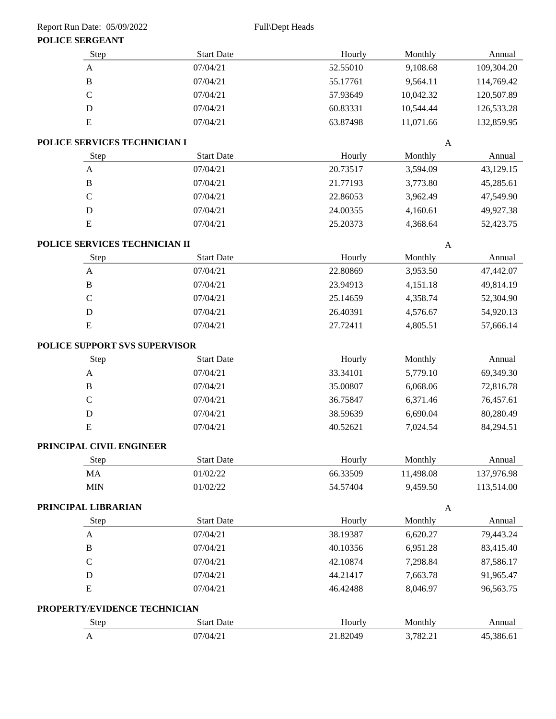#### **POLICE SERGEANT**

| PULIUE SERUEAN I          |                                                           |                                                                                                                                                                        |                                  |                                  |
|---------------------------|-----------------------------------------------------------|------------------------------------------------------------------------------------------------------------------------------------------------------------------------|----------------------------------|----------------------------------|
| Step                      | <b>Start Date</b>                                         | Hourly                                                                                                                                                                 | Monthly                          | Annual                           |
| $\boldsymbol{\mathsf{A}}$ | 07/04/21                                                  | 52.55010                                                                                                                                                               | 9,108.68                         | 109,304.20                       |
| $\, {\bf B}$              | 07/04/21                                                  | 55.17761                                                                                                                                                               | 9,564.11                         | 114,769.42                       |
| $\mathsf{C}$              | 07/04/21                                                  | 57.93649                                                                                                                                                               | 10,042.32                        | 120,507.89                       |
| ${\bf D}$                 | 07/04/21                                                  | 60.83331                                                                                                                                                               | 10,544.44                        | 126,533.28                       |
| ${\bf E}$                 | 07/04/21                                                  | 63.87498                                                                                                                                                               | 11,071.66                        | 132,859.95                       |
|                           |                                                           |                                                                                                                                                                        | $\mathbf{A}$                     |                                  |
| Step                      | <b>Start Date</b>                                         | Hourly                                                                                                                                                                 | Monthly                          | Annual                           |
| $\boldsymbol{\mathsf{A}}$ | 07/04/21                                                  | 20.73517                                                                                                                                                               | 3,594.09                         | 43,129.15                        |
| $\, {\bf B}$              | 07/04/21                                                  | 21.77193                                                                                                                                                               | 3,773.80                         | 45,285.61                        |
| $\mathbf C$               | 07/04/21                                                  | 22.86053                                                                                                                                                               | 3,962.49                         | 47,549.90                        |
| ${\bf D}$                 | 07/04/21                                                  | 24.00355                                                                                                                                                               | 4,160.61                         | 49,927.38                        |
| ${\bf E}$                 | 07/04/21                                                  | 25.20373                                                                                                                                                               | 4,368.64                         | 52,423.75                        |
|                           |                                                           |                                                                                                                                                                        | $\mathbf{A}$                     |                                  |
| Step                      | <b>Start Date</b>                                         | Hourly                                                                                                                                                                 | Monthly                          | Annual                           |
| $\boldsymbol{\mathsf{A}}$ | 07/04/21                                                  | 22.80869                                                                                                                                                               | 3,953.50                         | 47,442.07                        |
| $\, {\bf B}$              | 07/04/21                                                  | 23.94913                                                                                                                                                               | 4,151.18                         | 49,814.19                        |
| $\mathbf C$               | 07/04/21                                                  | 25.14659                                                                                                                                                               | 4,358.74                         | 52,304.90                        |
| ${\rm D}$                 | 07/04/21                                                  | 26.40391                                                                                                                                                               | 4,576.67                         | 54,920.13                        |
| ${\bf E}$                 | 07/04/21                                                  | 27.72411                                                                                                                                                               | 4,805.51                         | 57,666.14                        |
|                           |                                                           |                                                                                                                                                                        |                                  |                                  |
|                           | <b>Start Date</b>                                         | Hourly                                                                                                                                                                 | Monthly                          | Annual                           |
| $\boldsymbol{\mathsf{A}}$ | 07/04/21                                                  | 33.34101                                                                                                                                                               | 5,779.10                         | 69,349.30                        |
|                           | 07/04/21                                                  |                                                                                                                                                                        |                                  | 72,816.78                        |
|                           | 07/04/21                                                  |                                                                                                                                                                        |                                  | 76,457.61                        |
|                           |                                                           |                                                                                                                                                                        |                                  | 80,280.49                        |
| ${\bf E}$                 | 07/04/21                                                  | 40.52621                                                                                                                                                               | 7,024.54                         | 84,294.51                        |
|                           |                                                           |                                                                                                                                                                        |                                  |                                  |
| Step                      | <b>Start Date</b>                                         | Hourly                                                                                                                                                                 | Monthly                          | Annual                           |
| MA                        | 01/02/22                                                  | 66.33509                                                                                                                                                               | 11,498.08                        | 137,976.98                       |
| <b>MIN</b>                | 01/02/22                                                  | 54.57404                                                                                                                                                               | 9,459.50                         | 113,514.00                       |
| PRINCIPAL LIBRARIAN       |                                                           |                                                                                                                                                                        | $\boldsymbol{\mathsf{A}}$        |                                  |
| Step                      | <b>Start Date</b>                                         | Hourly                                                                                                                                                                 | Monthly                          | Annual                           |
| $\mathbf{A}$              | 07/04/21                                                  | 38.19387                                                                                                                                                               | 6,620.27                         | 79,443.24                        |
| $\, {\bf B}$              | 07/04/21                                                  | 40.10356                                                                                                                                                               | 6,951.28                         | 83,415.40                        |
| $\mathbf C$               | 07/04/21                                                  | 42.10874                                                                                                                                                               | 7,298.84                         | 87,586.17                        |
| $\mathbf D$               | 07/04/21                                                  | 44.21417                                                                                                                                                               | 7,663.78                         | 91,965.47                        |
| ${\bf E}$                 | 07/04/21                                                  | 46.42488                                                                                                                                                               | 8,046.97                         | 96,563.75                        |
|                           |                                                           |                                                                                                                                                                        |                                  |                                  |
|                           | <b>Start Date</b>                                         | Hourly                                                                                                                                                                 | Monthly                          | Annual                           |
| $\mathbf{A}$              | 07/04/21                                                  | 21.82049                                                                                                                                                               | 3,782.21                         | 45,386.61                        |
|                           | Step<br>$\, {\bf B}$<br>$\mathsf{C}$<br>${\bf D}$<br>Step | POLICE SERVICES TECHNICIAN I<br>POLICE SERVICES TECHNICIAN II<br>POLICE SUPPORT SVS SUPERVISOR<br>07/04/21<br>PRINCIPAL CIVIL ENGINEER<br>PROPERTY/EVIDENCE TECHNICIAN | 35.00807<br>36.75847<br>38.59639 | 6,068.06<br>6,371.46<br>6,690.04 |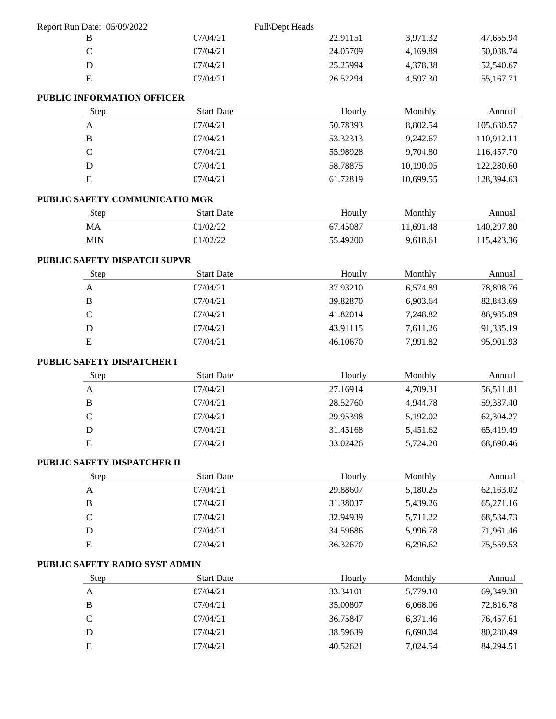| Report Run Date: 05/09/2022    |                   | Full\Dept Heads |           |            |
|--------------------------------|-------------------|-----------------|-----------|------------|
| B                              | 07/04/21          | 22.91151        | 3,971.32  | 47,655.94  |
| $\mathcal{C}$                  | 07/04/21          | 24.05709        | 4,169.89  | 50,038.74  |
| $\mathbf D$                    | 07/04/21          | 25.25994        | 4,378.38  | 52,540.67  |
| ${\bf E}$                      | 07/04/21          | 26.52294        | 4,597.30  | 55,167.71  |
| PUBLIC INFORMATION OFFICER     |                   |                 |           |            |
| Step                           | <b>Start Date</b> | Hourly          | Monthly   | Annual     |
| $\mathbf{A}$                   | 07/04/21          | 50.78393        | 8,802.54  | 105,630.57 |
| $\mathbf{B}$                   | 07/04/21          | 53.32313        | 9,242.67  | 110,912.11 |
| $\mathbf C$                    | 07/04/21          | 55.98928        | 9,704.80  | 116,457.70 |
| $\mathbf D$                    | 07/04/21          | 58.78875        | 10,190.05 | 122,280.60 |
| ${\bf E}$                      | 07/04/21          | 61.72819        | 10,699.55 | 128,394.63 |
| PUBLIC SAFETY COMMUNICATIO MGR |                   |                 |           |            |
| Step                           | <b>Start Date</b> | Hourly          | Monthly   | Annual     |
| MA                             | 01/02/22          | 67.45087        | 11,691.48 | 140,297.80 |
| <b>MIN</b>                     | 01/02/22          | 55.49200        | 9,618.61  | 115,423.36 |
| PUBLIC SAFETY DISPATCH SUPVR   |                   |                 |           |            |
| Step                           | <b>Start Date</b> | Hourly          | Monthly   | Annual     |
| $\mathbf{A}$                   | 07/04/21          | 37.93210        | 6,574.89  | 78,898.76  |
| $\bf{B}$                       | 07/04/21          | 39.82870        | 6,903.64  | 82,843.69  |
| $\mathcal{C}$                  | 07/04/21          | 41.82014        | 7,248.82  | 86,985.89  |
| $\mathbf D$                    | 07/04/21          | 43.91115        | 7,611.26  | 91,335.19  |
| ${\bf E}$                      | 07/04/21          | 46.10670        | 7,991.82  | 95,901.93  |
| PUBLIC SAFETY DISPATCHER I     |                   |                 |           |            |
| Step                           | <b>Start Date</b> | Hourly          | Monthly   | Annual     |
| $\mathbf{A}$                   | 07/04/21          | 27.16914        | 4,709.31  | 56,511.81  |
| $\, {\bf B}$                   | 07/04/21          | 28.52760        | 4,944.78  | 59,337.40  |
| $\mathsf{C}$                   | 07/04/21          | 29.95398        | 5,192.02  | 62,304.27  |
| ${\bf D}$                      | 07/04/21          | 31.45168        | 5,451.62  | 65,419.49  |
| E                              | 07/04/21          | 33.02426        | 5,724.20  | 68,690.46  |
| PUBLIC SAFETY DISPATCHER II    |                   |                 |           |            |
| Step                           | <b>Start Date</b> | Hourly          | Monthly   | Annual     |
| A                              | 07/04/21          | 29.88607        | 5,180.25  | 62,163.02  |
| $\mathbf{B}$                   | 07/04/21          | 31.38037        | 5,439.26  | 65,271.16  |
| $\mathsf{C}$                   | 07/04/21          | 32.94939        | 5,711.22  | 68,534.73  |
| ${\bf D}$                      | 07/04/21          | 34.59686        | 5,996.78  | 71,961.46  |
| E                              | 07/04/21          | 36.32670        | 6,296.62  | 75,559.53  |
| PUBLIC SAFETY RADIO SYST ADMIN |                   |                 |           |            |
| Step                           | <b>Start Date</b> | Hourly          | Monthly   | Annual     |
| $\mathbf{A}$                   | 07/04/21          | 33.34101        | 5,779.10  | 69,349.30  |
| B                              | 07/04/21          | 35.00807        | 6,068.06  | 72,816.78  |
| $\mathbf C$                    | 07/04/21          | 36.75847        | 6,371.46  | 76,457.61  |
| D                              | 07/04/21          | 38.59639        | 6,690.04  | 80,280.49  |
| ${\bf E}$                      | 07/04/21          | 40.52621        | 7,024.54  | 84,294.51  |
|                                |                   |                 |           |            |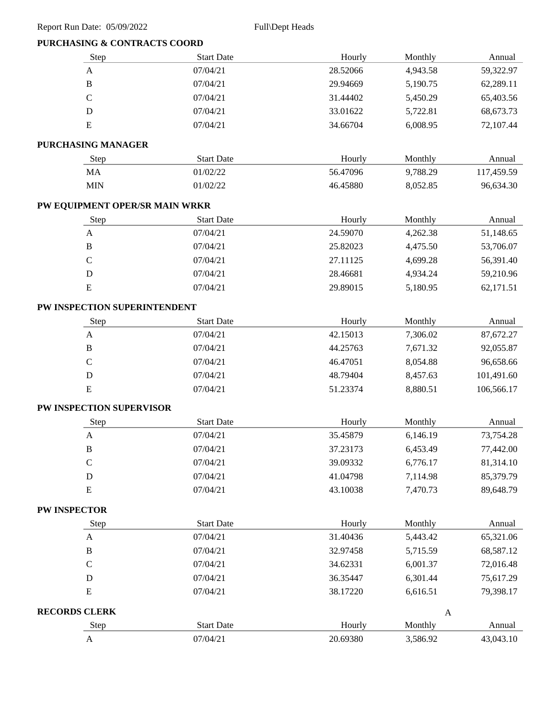# **PURCHASING & CONTRACTS COORD**

| Step                           | <b>Start Date</b> | Hourly   | Monthly      | Annual     |
|--------------------------------|-------------------|----------|--------------|------------|
| $\mathbf{A}$                   | 07/04/21          | 28.52066 | 4,943.58     | 59,322.97  |
| $\, {\bf B}$                   | 07/04/21          | 29.94669 | 5,190.75     | 62,289.11  |
| $\mathcal{C}$                  | 07/04/21          | 31.44402 | 5,450.29     | 65,403.56  |
| D                              | 07/04/21          | 33.01622 | 5,722.81     | 68,673.73  |
| ${\bf E}$                      | 07/04/21          | 34.66704 | 6,008.95     | 72,107.44  |
| PURCHASING MANAGER             |                   |          |              |            |
| Step                           | <b>Start Date</b> | Hourly   | Monthly      | Annual     |
| MA                             | 01/02/22          | 56.47096 | 9,788.29     | 117,459.59 |
| <b>MIN</b>                     | 01/02/22          | 46.45880 | 8,052.85     | 96,634.30  |
| PW EQUIPMENT OPER/SR MAIN WRKR |                   |          |              |            |
| Step                           | <b>Start Date</b> | Hourly   | Monthly      | Annual     |
| $\mathbf{A}$                   | 07/04/21          | 24.59070 | 4,262.38     | 51,148.65  |
| $\, {\bf B}$                   | 07/04/21          | 25.82023 | 4,475.50     | 53,706.07  |
| $\mathcal{C}$                  | 07/04/21          | 27.11125 | 4,699.28     | 56,391.40  |
| D                              | 07/04/21          | 28.46681 | 4,934.24     | 59,210.96  |
| ${\bf E}$                      | 07/04/21          | 29.89015 | 5,180.95     | 62,171.51  |
| PW INSPECTION SUPERINTENDENT   |                   |          |              |            |
| Step                           | <b>Start Date</b> | Hourly   | Monthly      | Annual     |
| $\mathbf A$                    | 07/04/21          | 42.15013 | 7,306.02     | 87,672.27  |
| $\, {\bf B}$                   | 07/04/21          | 44.25763 | 7,671.32     | 92,055.87  |
| $\mathbf C$                    | 07/04/21          | 46.47051 | 8,054.88     | 96,658.66  |
| $\mathbf D$                    | 07/04/21          | 48.79404 | 8,457.63     | 101,491.60 |
| ${\bf E}$                      | 07/04/21          | 51.23374 | 8,880.51     | 106,566.17 |
| PW INSPECTION SUPERVISOR       |                   |          |              |            |
| Step                           | <b>Start Date</b> | Hourly   | Monthly      | Annual     |
| $\mathbf{A}$                   | 07/04/21          | 35.45879 | 6,146.19     | 73,754.28  |
| $\, {\bf B}$                   | 07/04/21          | 37.23173 | 6,453.49     | 77,442.00  |
| $\mathcal{C}$                  | 07/04/21          | 39.09332 | 6,776.17     | 81,314.10  |
| $\mathbf D$                    | 07/04/21          | 41.04798 | 7,114.98     | 85,379.79  |
| ${\bf E}$                      | 07/04/21          | 43.10038 | 7,470.73     | 89,648.79  |
| <b>PW INSPECTOR</b>            |                   |          |              |            |
| Step                           | <b>Start Date</b> | Hourly   | Monthly      | Annual     |
| $\mathbf{A}$                   | 07/04/21          | 31.40436 | 5,443.42     | 65,321.06  |
| $\, {\bf B}$                   | 07/04/21          | 32.97458 | 5,715.59     | 68,587.12  |
| $\mathcal{C}$                  | 07/04/21          | 34.62331 | 6,001.37     | 72,016.48  |
| D                              | 07/04/21          | 36.35447 | 6,301.44     | 75,617.29  |
| E                              | 07/04/21          | 38.17220 | 6,616.51     | 79,398.17  |
| <b>RECORDS CLERK</b>           |                   |          | $\mathbf{A}$ |            |
| Step                           | <b>Start Date</b> | Hourly   | Monthly      | Annual     |
| $\mathbf{A}$                   | 07/04/21          | 20.69380 | 3,586.92     | 43,043.10  |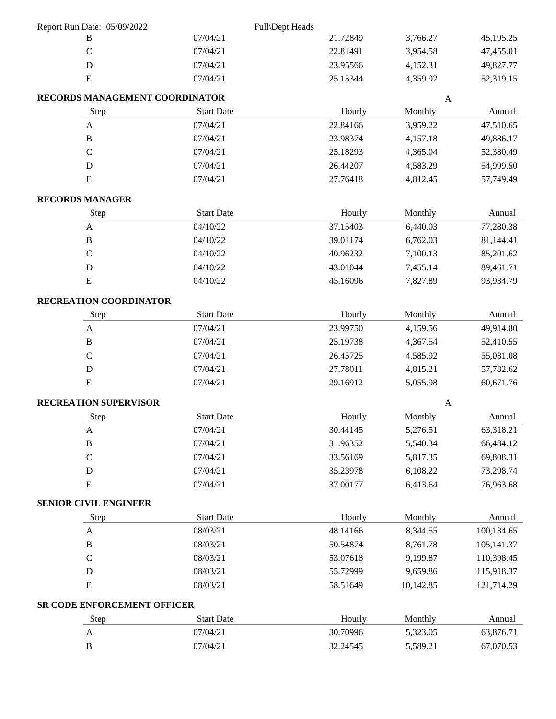| Report Run Date: 05/09/2022  |                                |                   | Full\Dept Heads |                   |              |
|------------------------------|--------------------------------|-------------------|-----------------|-------------------|--------------|
| B                            |                                | 07/04/21          | 21.72849        | 3,766.27          | 45,195.25    |
| $\mathbf C$                  |                                | 07/04/21          | 22.81491        | 3,954.58          | 47,455.01    |
| $\mathbf D$                  |                                | 07/04/21          | 23.95566        | 4,152.31          | 49,827.77    |
| ${\bf E}$                    |                                | 07/04/21          | 25.15344        | 4,359.92          | 52,319.15    |
|                              | RECORDS MANAGEMENT COORDINATOR |                   |                 |                   | $\mathbf{A}$ |
|                              | Step                           | <b>Start Date</b> |                 | Hourly<br>Monthly | Annual       |
| $\boldsymbol{A}$             |                                | 07/04/21          | 22.84166        | 3,959.22          | 47,510.65    |
| $\, {\bf B}$                 |                                | 07/04/21          | 23.98374        | 4,157.18          | 49,886.17    |
| ${\bf C}$                    |                                | 07/04/21          | 25.18293        | 4,365.04          | 52,380.49    |
| D                            |                                | 07/04/21          | 26.44207        | 4,583.29          | 54,999.50    |
| E                            |                                | 07/04/21          | 27.76418        | 4,812.45          | 57,749.49    |
| <b>RECORDS MANAGER</b>       |                                |                   |                 |                   |              |
|                              | Step                           | <b>Start Date</b> |                 | Hourly<br>Monthly | Annual       |
| $\boldsymbol{A}$             |                                | 04/10/22          | 37.15403        | 6,440.03          | 77,280.38    |
| $\, {\bf B}$                 |                                | 04/10/22          | 39.01174        | 6,762.03          | 81,144.41    |
| $\mathbf C$                  |                                | 04/10/22          | 40.96232        | 7,100.13          | 85,201.62    |
| D                            |                                | 04/10/22          | 43.01044        | 7,455.14          | 89,461.71    |
| ${\bf E}$                    |                                | 04/10/22          | 45.16096        | 7,827.89          | 93,934.79    |
|                              | RECREATION COORDINATOR         |                   |                 |                   |              |
|                              | Step                           | <b>Start Date</b> |                 | Hourly<br>Monthly | Annual       |
| $\mathbf{A}$                 |                                | 07/04/21          | 23.99750        | 4,159.56          | 49,914.80    |
| $\, {\bf B}$                 |                                | 07/04/21          | 25.19738        | 4,367.54          | 52,410.55    |
| $\mathbf C$                  |                                | 07/04/21          | 26.45725        | 4,585.92          | 55,031.08    |
| $\mathbf D$                  |                                | 07/04/21          | 27.78011        | 4,815.21          | 57,782.62    |
| ${\bf E}$                    |                                | 07/04/21          | 29.16912        | 5,055.98          | 60,671.76    |
|                              | <b>RECREATION SUPERVISOR</b>   |                   |                 |                   | $\mathbf{A}$ |
|                              | <b>Step</b>                    | <b>Start Date</b> |                 | Monthly<br>Hourly | Annual       |
| A                            |                                | 07/04/21          | 30.44145        | 5,276.51          | 63,318.21    |
| $\, {\bf B}$                 |                                | 07/04/21          | 31.96352        | 5,540.34          | 66,484.12    |
| $\mathbf C$                  |                                | 07/04/21          | 33.56169        | 5,817.35          | 69,808.31    |
| $\mathbf D$                  |                                | 07/04/21          | 35.23978        | 6,108.22          | 73,298.74    |
| ${\bf E}$                    |                                | 07/04/21          | 37.00177        | 6,413.64          | 76,963.68    |
| <b>SENIOR CIVIL ENGINEER</b> |                                |                   |                 |                   |              |
|                              | Step                           | <b>Start Date</b> |                 | Hourly<br>Monthly | Annual       |
| $\mathbf{A}$                 |                                | 08/03/21          | 48.14166        | 8,344.55          | 100,134.65   |
| $\, {\bf B}$                 |                                | 08/03/21          | 50.54874        | 8,761.78          | 105,141.37   |
| $\mathbf C$                  |                                | 08/03/21          | 53.07618        | 9,199.87          | 110,398.45   |
| $\mathbf D$                  |                                | 08/03/21          | 55.72999        | 9,659.86          | 115,918.37   |
| ${\bf E}$                    |                                | 08/03/21          | 58.51649        | 10,142.85         | 121,714.29   |
|                              | SR CODE ENFORCEMENT OFFICER    |                   |                 |                   |              |
|                              | Step                           | <b>Start Date</b> |                 | Hourly<br>Monthly | Annual       |
| A                            |                                | 07/04/21          | 30.70996        | 5,323.05          | 63,876.71    |
| $\, {\bf B}$                 |                                | 07/04/21          | 32.24545        | 5,589.21          | 67,070.53    |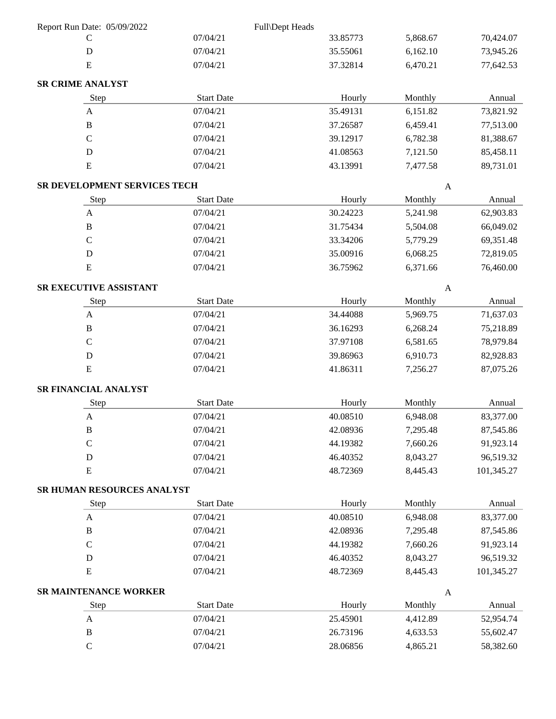| Report Run Date: 05/09/2022  |                   | Full\Dept Heads |                  |            |
|------------------------------|-------------------|-----------------|------------------|------------|
| $\mathcal{C}$                | 07/04/21          | 33.85773        | 5,868.67         | 70,424.07  |
| $\mathbf D$                  | 07/04/21          | 35.55061        | 6,162.10         | 73,945.26  |
| ${\bf E}$                    | 07/04/21          | 37.32814        | 6,470.21         | 77,642.53  |
| <b>SR CRIME ANALYST</b>      |                   |                 |                  |            |
| Step                         | <b>Start Date</b> | Hourly          | Monthly          | Annual     |
| $\mathbf{A}$                 | 07/04/21          | 35.49131        | 6,151.82         | 73,821.92  |
| $\, {\bf B}$                 | 07/04/21          | 37.26587        | 6,459.41         | 77,513.00  |
| $\mathbf C$                  | 07/04/21          | 39.12917        | 6,782.38         | 81,388.67  |
| D                            | 07/04/21          | 41.08563        | 7,121.50         | 85,458.11  |
| ${\bf E}$                    | 07/04/21          | 43.13991        | 7,477.58         | 89,731.01  |
| SR DEVELOPMENT SERVICES TECH |                   |                 | $\mathbf{A}$     |            |
| Step                         | <b>Start Date</b> | Hourly          | Monthly          | Annual     |
| $\mathbf{A}$                 | 07/04/21          | 30.24223        | 5,241.98         | 62,903.83  |
| $\, {\bf B}$                 | 07/04/21          | 31.75434        | 5,504.08         | 66,049.02  |
| $\mathbf C$                  | 07/04/21          | 33.34206        | 5,779.29         | 69,351.48  |
| $\mathbf D$                  | 07/04/21          | 35.00916        | 6,068.25         | 72,819.05  |
| ${\bf E}$                    | 07/04/21          | 36.75962        | 6,371.66         | 76,460.00  |
| SR EXECUTIVE ASSISTANT       |                   |                 | $\boldsymbol{A}$ |            |
| Step                         | <b>Start Date</b> | Hourly          | Monthly          | Annual     |
| $\boldsymbol{\mathsf{A}}$    | 07/04/21          | 34.44088        | 5,969.75         | 71,637.03  |
| $\, {\bf B}$                 | 07/04/21          | 36.16293        | 6,268.24         | 75,218.89  |
| $\mathbf C$                  | 07/04/21          | 37.97108        | 6,581.65         | 78,979.84  |
| $\mathbf D$                  | 07/04/21          | 39.86963        | 6,910.73         | 82,928.83  |
| ${\bf E}$                    | 07/04/21          | 41.86311        | 7,256.27         | 87,075.26  |
| SR FINANCIAL ANALYST         |                   |                 |                  |            |
| Step                         | <b>Start Date</b> | Hourly          | Monthly          | Annual     |
| $\mathbf{A}$                 | 07/04/21          | 40.08510        | 6,948.08         | 83,377.00  |
| $\, {\bf B}$                 | 07/04/21          | 42.08936        | 7,295.48         | 87,545.86  |
| $\mathbf C$                  | 07/04/21          | 44.19382        | 7,660.26         | 91,923.14  |
| $\mathbf D$                  | 07/04/21          | 46.40352        | 8,043.27         | 96,519.32  |
| ${\bf E}$                    | 07/04/21          | 48.72369        | 8,445.43         | 101,345.27 |
| SR HUMAN RESOURCES ANALYST   |                   |                 |                  |            |
| Step                         | <b>Start Date</b> | Hourly          | Monthly          | Annual     |
| $\mathbf{A}$                 | 07/04/21          | 40.08510        | 6,948.08         | 83,377.00  |
| $\, {\bf B}$                 | 07/04/21          | 42.08936        | 7,295.48         | 87,545.86  |
| $\mathsf C$                  | 07/04/21          | 44.19382        | 7,660.26         | 91,923.14  |
| $\mathbf D$                  | 07/04/21          | 46.40352        | 8,043.27         | 96,519.32  |
| ${\bf E}$                    | 07/04/21          | 48.72369        | 8,445.43         | 101,345.27 |
| SR MAINTENANCE WORKER        |                   |                 | $\mathbf{A}$     |            |
| Step                         | <b>Start Date</b> | Hourly          | Monthly          | Annual     |
| $\mathbf{A}$                 | 07/04/21          | 25.45901        | 4,412.89         | 52,954.74  |
| $\, {\bf B}$                 | 07/04/21          | 26.73196        | 4,633.53         | 55,602.47  |
| $\mathbf C$                  | 07/04/21          | 28.06856        | 4,865.21         | 58,382.60  |
|                              |                   |                 |                  |            |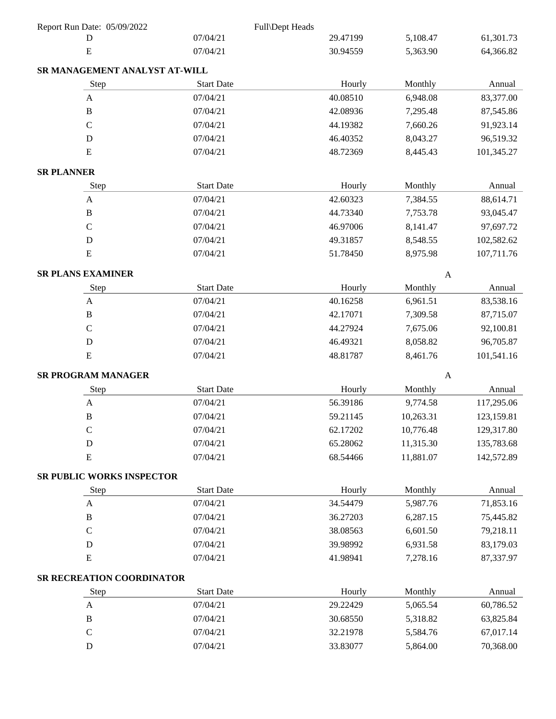| Report Run Date: 05/09/2022      |                   | Full\Dept Heads |              |            |
|----------------------------------|-------------------|-----------------|--------------|------------|
| D                                | 07/04/21          | 29.47199        | 5,108.47     | 61,301.73  |
| E                                | 07/04/21          | 30.94559        | 5,363.90     | 64,366.82  |
| SR MANAGEMENT ANALYST AT-WILL    |                   |                 |              |            |
| Step                             | <b>Start Date</b> | Hourly          | Monthly      | Annual     |
| $\mathbf{A}$                     | 07/04/21          | 40.08510        | 6,948.08     | 83,377.00  |
| $\mathbf B$                      | 07/04/21          | 42.08936        | 7,295.48     | 87,545.86  |
| $\mathsf{C}$                     | 07/04/21          | 44.19382        | 7,660.26     | 91,923.14  |
| $\mathbf D$                      | 07/04/21          | 46.40352        | 8,043.27     | 96,519.32  |
| E                                | 07/04/21          | 48.72369        | 8,445.43     | 101,345.27 |
| <b>SR PLANNER</b>                |                   |                 |              |            |
| Step                             | <b>Start Date</b> | Hourly          | Monthly      | Annual     |
| $\boldsymbol{\mathsf{A}}$        | 07/04/21          | 42.60323        | 7,384.55     | 88,614.71  |
| $\, {\bf B}$                     | 07/04/21          | 44.73340        | 7,753.78     | 93,045.47  |
| $\mathbf C$                      | 07/04/21          | 46.97006        | 8,141.47     | 97,697.72  |
| $\mathbf D$                      | 07/04/21          | 49.31857        | 8,548.55     | 102,582.62 |
| ${\bf E}$                        | 07/04/21          | 51.78450        | 8,975.98     | 107,711.76 |
| <b>SR PLANS EXAMINER</b>         |                   |                 | $\mathbf{A}$ |            |
| Step                             | <b>Start Date</b> | Hourly          | Monthly      | Annual     |
| $\mathbf{A}$                     | 07/04/21          | 40.16258        | 6,961.51     | 83,538.16  |
| $\, {\bf B}$                     | 07/04/21          | 42.17071        | 7,309.58     | 87,715.07  |
| $\mathbf C$                      | 07/04/21          | 44.27924        | 7,675.06     | 92,100.81  |
| ${\bf D}$                        | 07/04/21          | 46.49321        | 8,058.82     | 96,705.87  |
| E                                | 07/04/21          | 48.81787        | 8,461.76     | 101,541.16 |
| <b>SR PROGRAM MANAGER</b>        |                   |                 | $\mathbf{A}$ |            |
| Step                             | <b>Start Date</b> | Hourly          | Monthly      | Annual     |
| $\boldsymbol{\mathsf{A}}$        | 07/04/21          | 56.39186        | 9,774.58     | 117,295.06 |
| $\, {\bf B}$                     | 07/04/21          | 59.21145        | 10,263.31    | 123,159.81 |
| $\mathcal{C}$                    | 07/04/21          | 62.17202        | 10,776.48    | 129,317.80 |
| $\mathbf D$                      | 07/04/21          | 65.28062        | 11,315.30    | 135,783.68 |
| ${\bf E}$                        | 07/04/21          | 68.54466        | 11,881.07    | 142,572.89 |
| <b>SR PUBLIC WORKS INSPECTOR</b> |                   |                 |              |            |
| Step                             | <b>Start Date</b> | Hourly          | Monthly      | Annual     |
| A                                | 07/04/21          | 34.54479        | 5,987.76     | 71,853.16  |
| $\mathbf B$                      | 07/04/21          | 36.27203        | 6,287.15     | 75,445.82  |
| $\mathbf C$                      | 07/04/21          | 38.08563        | 6,601.50     | 79,218.11  |
| $\mathbf D$                      | 07/04/21          | 39.98992        | 6,931.58     | 83,179.03  |
| ${\bf E}$                        | 07/04/21          | 41.98941        | 7,278.16     | 87,337.97  |
| SR RECREATION COORDINATOR        |                   |                 |              |            |
| Step                             | <b>Start Date</b> | Hourly          | Monthly      | Annual     |
| $\mathbf{A}$                     | 07/04/21          | 29.22429        | 5,065.54     | 60,786.52  |
| $\, {\bf B}$                     | 07/04/21          | 30.68550        | 5,318.82     | 63,825.84  |
| $\mathbf C$                      | 07/04/21          | 32.21978        | 5,584.76     | 67,017.14  |
| ${\bf D}$                        | 07/04/21          | 33.83077        | 5,864.00     | 70,368.00  |
|                                  |                   |                 |              |            |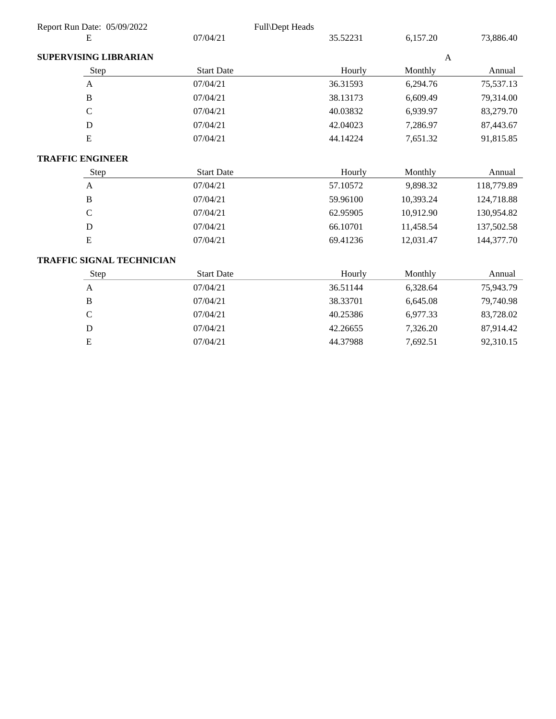| Report Run Date: 05/09/2022      |                   | Full\Dept Heads |              |            |
|----------------------------------|-------------------|-----------------|--------------|------------|
| Ε                                | 07/04/21          | 35.52231        | 6,157.20     | 73,886.40  |
| <b>SUPERVISING LIBRARIAN</b>     |                   |                 | $\mathbf{A}$ |            |
| Step                             | <b>Start Date</b> | Hourly          | Monthly      | Annual     |
| $\mathbf{A}$                     | 07/04/21          | 36.31593        | 6,294.76     | 75,537.13  |
| $\bf{B}$                         | 07/04/21          | 38.13173        | 6,609.49     | 79,314.00  |
| $\mathbf C$                      | 07/04/21          | 40.03832        | 6,939.97     | 83,279.70  |
| D                                | 07/04/21          | 42.04023        | 7,286.97     | 87,443.67  |
| E                                | 07/04/21          | 44.14224        | 7,651.32     | 91,815.85  |
| <b>TRAFFIC ENGINEER</b>          |                   |                 |              |            |
| Step                             | <b>Start Date</b> | Hourly          | Monthly      | Annual     |
| $\mathbf{A}$                     | 07/04/21          | 57.10572        | 9,898.32     | 118,779.89 |
| $\mathbf B$                      | 07/04/21          | 59.96100        | 10,393.24    | 124,718.88 |
| $\mathbf C$                      | 07/04/21          | 62.95905        | 10,912.90    | 130,954.82 |
| D                                | 07/04/21          | 66.10701        | 11,458.54    | 137,502.58 |
| E                                | 07/04/21          | 69.41236        | 12,031.47    | 144,377.70 |
| <b>TRAFFIC SIGNAL TECHNICIAN</b> |                   |                 |              |            |
| Step                             | <b>Start Date</b> | Hourly          | Monthly      | Annual     |
| $\mathbf{A}$                     | 07/04/21          | 36.51144        | 6,328.64     | 75,943.79  |
| $\bf{B}$                         | 07/04/21          | 38.33701        | 6,645.08     | 79,740.98  |
| $\mathsf{C}$                     | 07/04/21          | 40.25386        | 6,977.33     | 83,728.02  |
| D                                | 07/04/21          | 42.26655        | 7,326.20     | 87,914.42  |
| ${\bf E}$                        | 07/04/21          | 44.37988        | 7,692.51     | 92,310.15  |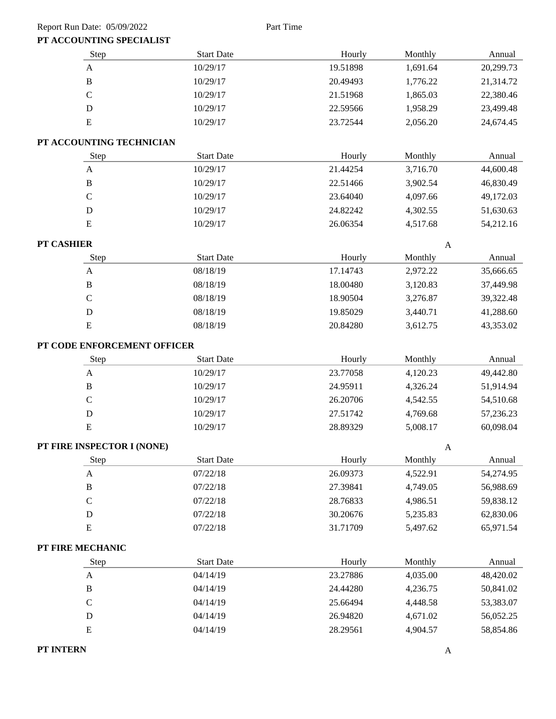#### Report Run Date: 05/09/2022 Part Time

## **PT ACCOUNTING SPECIALIST**

| Step                        | <b>Start Date</b> | Hourly   | Monthly      | Annual    |
|-----------------------------|-------------------|----------|--------------|-----------|
| $\mathbf A$                 | 10/29/17          | 19.51898 | 1,691.64     | 20,299.73 |
| $\, {\bf B}$                | 10/29/17          | 20.49493 | 1,776.22     | 21,314.72 |
| $\mathbf C$                 | 10/29/17          | 21.51968 | 1,865.03     | 22,380.46 |
| $\mathbf D$                 | 10/29/17          | 22.59566 | 1,958.29     | 23,499.48 |
| ${\bf E}$                   | 10/29/17          | 23.72544 | 2,056.20     | 24,674.45 |
| PT ACCOUNTING TECHNICIAN    |                   |          |              |           |
| Step                        | <b>Start Date</b> | Hourly   | Monthly      | Annual    |
| $\mathbf{A}$                | 10/29/17          | 21.44254 | 3,716.70     | 44,600.48 |
| $\, {\bf B}$                | 10/29/17          | 22.51466 | 3,902.54     | 46,830.49 |
| $\mathbf C$                 | 10/29/17          | 23.64040 | 4,097.66     | 49,172.03 |
| $\mathbf D$                 | 10/29/17          | 24.82242 | 4,302.55     | 51,630.63 |
| E                           | 10/29/17          | 26.06354 | 4,517.68     | 54,212.16 |
| PT CASHIER                  |                   |          | $\mathbf{A}$ |           |
| Step                        | <b>Start Date</b> | Hourly   | Monthly      | Annual    |
| $\boldsymbol{\mathsf{A}}$   | 08/18/19          | 17.14743 | 2,972.22     | 35,666.65 |
| $\, {\bf B}$                | 08/18/19          | 18.00480 | 3,120.83     | 37,449.98 |
| $\mathbf C$                 | 08/18/19          | 18.90504 | 3,276.87     | 39,322.48 |
| ${\bf D}$                   | 08/18/19          | 19.85029 | 3,440.71     | 41,288.60 |
| ${\bf E}$                   | 08/18/19          | 20.84280 | 3,612.75     | 43,353.02 |
| PT CODE ENFORCEMENT OFFICER |                   |          |              |           |
| Step                        | <b>Start Date</b> | Hourly   | Monthly      | Annual    |
| $\mathbf A$                 | 10/29/17          | 23.77058 | 4,120.23     | 49,442.80 |
| $\, {\bf B}$                | 10/29/17          | 24.95911 | 4,326.24     | 51,914.94 |
| $\mathbf C$                 | 10/29/17          | 26.20706 | 4,542.55     | 54,510.68 |
| $\mathbf D$                 | 10/29/17          | 27.51742 | 4,769.68     | 57,236.23 |
| ${\bf E}$                   | 10/29/17          | 28.89329 | 5,008.17     | 60,098.04 |
| PT FIRE INSPECTOR I (NONE)  |                   |          | A            |           |
| Step                        | <b>Start Date</b> | Hourly   | Monthly      | Annual    |
| $\mathbf{A}$                | 07/22/18          | 26.09373 | 4,522.91     | 54,274.95 |
| $\, {\bf B}$                | 07/22/18          | 27.39841 | 4,749.05     | 56,988.69 |
| $\mathcal{C}$               | 07/22/18          | 28.76833 | 4,986.51     | 59,838.12 |
| $\mathbf D$                 | 07/22/18          | 30.20676 | 5,235.83     | 62,830.06 |
| ${\bf E}$                   | 07/22/18          | 31.71709 | 5,497.62     | 65,971.54 |
| PT FIRE MECHANIC            |                   |          |              |           |
| Step                        | <b>Start Date</b> | Hourly   | Monthly      | Annual    |
| $\mathbf{A}$                | 04/14/19          | 23.27886 | 4,035.00     | 48,420.02 |
| $\, {\bf B}$                | 04/14/19          | 24.44280 | 4,236.75     | 50,841.02 |
| $\mathcal{C}$               | 04/14/19          | 25.66494 | 4,448.58     | 53,383.07 |
| $\mathbf D$                 | 04/14/19          | 26.94820 | 4,671.02     | 56,052.25 |
| ${\bf E}$                   | 04/14/19          | 28.29561 | 4,904.57     | 58,854.86 |

#### **PT INTERN** A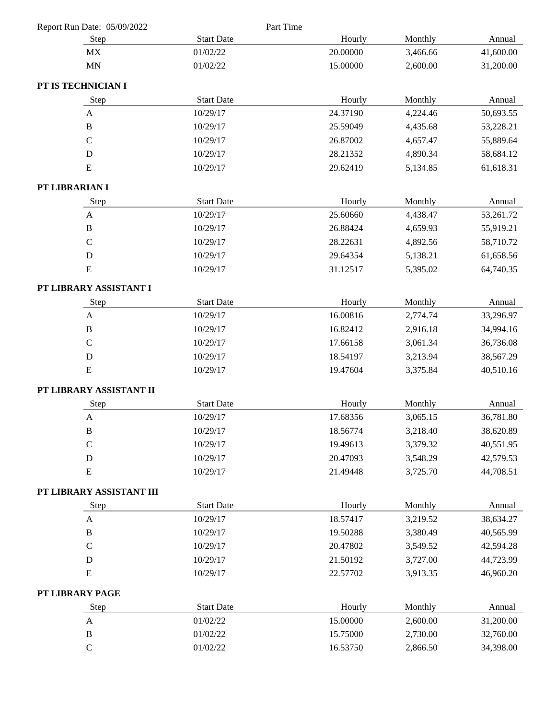| Report Run Date: 05/09/2022 |                   | Part Time |          |          |           |
|-----------------------------|-------------------|-----------|----------|----------|-----------|
| Step                        | <b>Start Date</b> |           | Hourly   | Monthly  | Annual    |
| MX                          | 01/02/22          |           | 20.00000 | 3,466.66 | 41,600.00 |
| <b>MN</b>                   | 01/02/22          |           | 15.00000 | 2,600.00 | 31,200.00 |
| PT IS TECHNICIAN I          |                   |           |          |          |           |
| Step                        | <b>Start Date</b> |           | Hourly   | Monthly  | Annual    |
| $\mathbf{A}$                | 10/29/17          |           | 24.37190 | 4,224.46 | 50,693.55 |
| $\, {\bf B}$                | 10/29/17          |           | 25.59049 | 4,435.68 | 53,228.21 |
| $\mathbf C$                 | 10/29/17          |           | 26.87002 | 4,657.47 | 55,889.64 |
| D                           | 10/29/17          |           | 28.21352 | 4,890.34 | 58,684.12 |
| E                           | 10/29/17          |           | 29.62419 | 5,134.85 | 61,618.31 |
| PT LIBRARIAN I              |                   |           |          |          |           |
| Step                        | <b>Start Date</b> |           | Hourly   | Monthly  | Annual    |
| A                           | 10/29/17          |           | 25.60660 | 4,438.47 | 53,261.72 |
| $\bf{B}$                    | 10/29/17          |           | 26.88424 | 4,659.93 | 55,919.21 |
| $\mathbf C$                 | 10/29/17          |           | 28.22631 | 4,892.56 | 58,710.72 |
| D                           | 10/29/17          |           | 29.64354 | 5,138.21 | 61,658.56 |
| ${\bf E}$                   | 10/29/17          |           | 31.12517 | 5,395.02 | 64,740.35 |
| PT LIBRARY ASSISTANT I      |                   |           |          |          |           |
| Step                        | <b>Start Date</b> |           | Hourly   | Monthly  | Annual    |
| $\mathbf{A}$                | 10/29/17          |           | 16.00816 | 2,774.74 | 33,296.97 |
| $\, {\bf B}$                | 10/29/17          |           | 16.82412 | 2,916.18 | 34,994.16 |
| $\mathbf C$                 | 10/29/17          |           | 17.66158 | 3,061.34 | 36,736.08 |
| $\mathbf D$                 | 10/29/17          |           | 18.54197 | 3,213.94 | 38,567.29 |
| ${\bf E}$                   | 10/29/17          |           | 19.47604 | 3,375.84 | 40,510.16 |
| PT LIBRARY ASSISTANT II     |                   |           |          |          |           |
| Step                        | <b>Start Date</b> |           | Hourly   | Monthly  | Annual    |
| $\mathbf{A}$                | 10/29/17          |           | 17.68356 | 3,065.15 | 36,781.80 |
| $\, {\bf B}$                | 10/29/17          |           | 18.56774 | 3,218.40 | 38,620.89 |
| $\mathbf C$                 | 10/29/17          |           | 19.49613 | 3,379.32 | 40,551.95 |
| $\mathbf D$                 | 10/29/17          |           | 20.47093 | 3,548.29 | 42,579.53 |
| ${\bf E}$                   | 10/29/17          |           | 21.49448 | 3,725.70 | 44,708.51 |
| PT LIBRARY ASSISTANT III    |                   |           |          |          |           |
| Step                        | <b>Start Date</b> |           | Hourly   | Monthly  | Annual    |
| A                           | 10/29/17          |           | 18.57417 | 3,219.52 | 38,634.27 |
| $\, {\bf B}$                | 10/29/17          |           | 19.50288 | 3,380.49 | 40,565.99 |
| $\mathsf C$                 | 10/29/17          |           | 20.47802 | 3,549.52 | 42,594.28 |
| $\mathbf D$                 | 10/29/17          |           | 21.50192 | 3,727.00 | 44,723.99 |
| ${\bf E}$                   | 10/29/17          |           | 22.57702 | 3,913.35 | 46,960.20 |
| PT LIBRARY PAGE             |                   |           |          |          |           |
| Step                        | <b>Start Date</b> |           | Hourly   | Monthly  | Annual    |
| $\boldsymbol{\mathsf{A}}$   | 01/02/22          |           | 15.00000 | 2,600.00 | 31,200.00 |
| $\, {\bf B}$                | 01/02/22          |           | 15.75000 | 2,730.00 | 32,760.00 |
| $\mathsf C$                 | 01/02/22          |           | 16.53750 | 2,866.50 | 34,398.00 |
|                             |                   |           |          |          |           |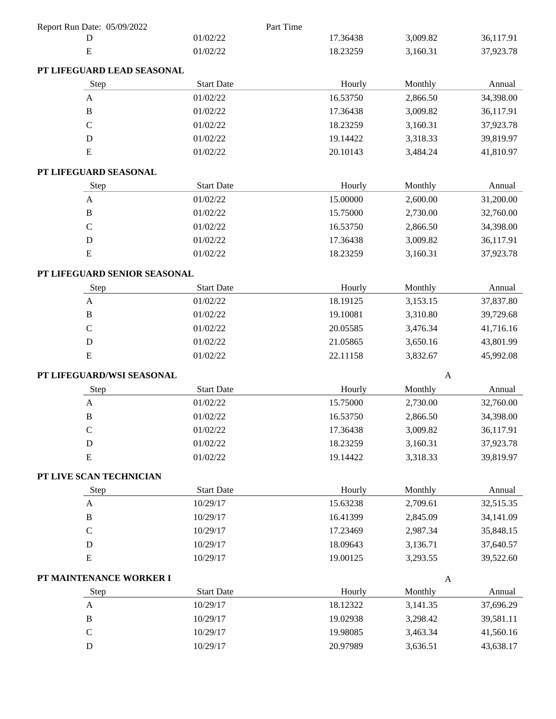| Report Run Date: 05/09/2022  |                   | Part Time |              |           |
|------------------------------|-------------------|-----------|--------------|-----------|
| D                            | 01/02/22          | 17.36438  | 3,009.82     | 36,117.91 |
| E                            | 01/02/22          | 18.23259  | 3,160.31     | 37,923.78 |
| PT LIFEGUARD LEAD SEASONAL   |                   |           |              |           |
| Step                         | <b>Start Date</b> | Hourly    | Monthly      | Annual    |
| A                            | 01/02/22          | 16.53750  | 2,866.50     | 34,398.00 |
| $\, {\bf B}$                 | 01/02/22          | 17.36438  | 3,009.82     | 36,117.91 |
| $\mathcal{C}$                | 01/02/22          | 18.23259  | 3,160.31     | 37,923.78 |
| ${\bf D}$                    | 01/02/22          | 19.14422  | 3,318.33     | 39,819.97 |
| ${\bf E}$                    | 01/02/22          | 20.10143  | 3,484.24     | 41,810.97 |
| PT LIFEGUARD SEASONAL        |                   |           |              |           |
| Step                         | <b>Start Date</b> | Hourly    | Monthly      | Annual    |
| $\mathbf{A}$                 | 01/02/22          | 15.00000  | 2,600.00     | 31,200.00 |
| $\, {\bf B}$                 | 01/02/22          | 15.75000  | 2,730.00     | 32,760.00 |
| $\mathsf C$                  | 01/02/22          | 16.53750  | 2,866.50     | 34,398.00 |
| D                            | 01/02/22          | 17.36438  | 3,009.82     | 36,117.91 |
| E                            | 01/02/22          | 18.23259  | 3,160.31     | 37,923.78 |
| PT LIFEGUARD SENIOR SEASONAL |                   |           |              |           |
| Step                         | <b>Start Date</b> | Hourly    | Monthly      | Annual    |
| A                            | 01/02/22          | 18.19125  | 3,153.15     | 37,837.80 |
| $\, {\bf B}$                 | 01/02/22          | 19.10081  | 3,310.80     | 39,729.68 |
| $\mathcal{C}$                | 01/02/22          | 20.05585  | 3,476.34     | 41,716.16 |
| D                            | 01/02/22          | 21.05865  | 3,650.16     | 43,801.99 |
| ${\bf E}$                    | 01/02/22          | 22.11158  | 3,832.67     | 45,992.08 |
| PT LIFEGUARD/WSI SEASONAL    |                   |           | $\mathbf{A}$ |           |
| Step                         | <b>Start Date</b> | Hourly    | Monthly      | Annual    |
| A                            | 01/02/22          | 15.75000  | 2,730.00     | 32,760.00 |
| $\, {\bf B}$                 | 01/02/22          | 16.53750  | 2,866.50     | 34,398.00 |
| $\mathbf C$                  | 01/02/22          | 17.36438  | 3,009.82     | 36,117.91 |
| $\mathbf D$                  | 01/02/22          | 18.23259  | 3,160.31     | 37,923.78 |
| ${\bf E}$                    | 01/02/22          | 19.14422  | 3,318.33     | 39,819.97 |
| PT LIVE SCAN TECHNICIAN      |                   |           |              |           |
| Step                         | <b>Start Date</b> | Hourly    | Monthly      | Annual    |
| A                            | 10/29/17          | 15.63238  | 2,709.61     | 32,515.35 |
| $\, {\bf B}$                 | 10/29/17          | 16.41399  | 2,845.09     | 34,141.09 |
| $\mathbf C$                  | 10/29/17          | 17.23469  | 2,987.34     | 35,848.15 |
| D                            | 10/29/17          | 18.09643  | 3,136.71     | 37,640.57 |
| ${\bf E}$                    | 10/29/17          | 19.00125  | 3,293.55     | 39,522.60 |
| PT MAINTENANCE WORKER I      |                   |           | $\mathbf{A}$ |           |
| Step                         | <b>Start Date</b> | Hourly    | Monthly      | Annual    |
| $\mathbf{A}$                 | 10/29/17          | 18.12322  | 3,141.35     | 37,696.29 |
| $\, {\bf B}$                 | 10/29/17          | 19.02938  | 3,298.42     | 39,581.11 |
| $\mathsf C$                  | 10/29/17          | 19.98085  | 3,463.34     | 41,560.16 |
| ${\bf D}$                    | 10/29/17          | 20.97989  | 3,636.51     | 43,638.17 |
|                              |                   |           |              |           |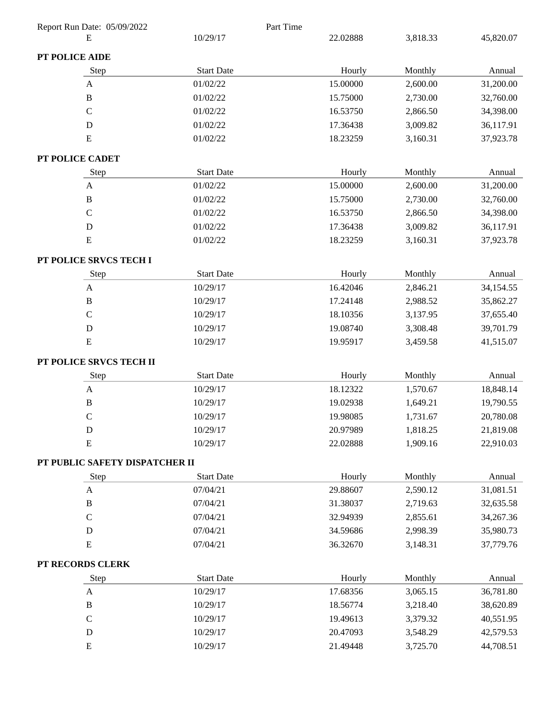| Report Run Date: 05/09/2022    |                   | Part Time |          |           |
|--------------------------------|-------------------|-----------|----------|-----------|
| Е                              | 10/29/17          | 22.02888  | 3,818.33 | 45,820.07 |
| PT POLICE AIDE                 |                   |           |          |           |
| Step                           | <b>Start Date</b> | Hourly    | Monthly  | Annual    |
| A                              | 01/02/22          | 15.00000  | 2,600.00 | 31,200.00 |
| $\, {\bf B}$                   | 01/02/22          | 15.75000  | 2,730.00 | 32,760.00 |
| $\mathsf C$                    | 01/02/22          | 16.53750  | 2,866.50 | 34,398.00 |
| $\mathbf D$                    | 01/02/22          | 17.36438  | 3,009.82 | 36,117.91 |
| ${\bf E}$                      | 01/02/22          | 18.23259  | 3,160.31 | 37,923.78 |
| PT POLICE CADET                |                   |           |          |           |
| Step                           | <b>Start Date</b> | Hourly    | Monthly  | Annual    |
| $\boldsymbol{\mathsf{A}}$      | 01/02/22          | 15.00000  | 2,600.00 | 31,200.00 |
| $\mathbf B$                    | 01/02/22          | 15.75000  | 2,730.00 | 32,760.00 |
| $\mathbf C$                    | 01/02/22          | 16.53750  | 2,866.50 | 34,398.00 |
| ${\bf D}$                      | 01/02/22          | 17.36438  | 3,009.82 | 36,117.91 |
| E                              | 01/02/22          | 18.23259  | 3,160.31 | 37,923.78 |
| PT POLICE SRVCS TECH I         |                   |           |          |           |
| Step                           | <b>Start Date</b> | Hourly    | Monthly  | Annual    |
| $\mathbf{A}$                   | 10/29/17          | 16.42046  | 2,846.21 | 34,154.55 |
| B                              | 10/29/17          | 17.24148  | 2,988.52 | 35,862.27 |
| $\mathbf C$                    | 10/29/17          | 18.10356  | 3,137.95 | 37,655.40 |
| $\mathbf D$                    | 10/29/17          | 19.08740  | 3,308.48 | 39,701.79 |
| ${\bf E}$                      | 10/29/17          | 19.95917  | 3,459.58 | 41,515.07 |
| PT POLICE SRVCS TECH II        |                   |           |          |           |
| Step                           | <b>Start Date</b> | Hourly    | Monthly  | Annual    |
| $\mathbf{A}$                   | 10/29/17          | 18.12322  | 1,570.67 | 18,848.14 |
| $\, {\bf B}$                   | 10/29/17          | 19.02938  | 1,649.21 | 19,790.55 |
| $\mathbf C$                    | 10/29/17          | 19.98085  | 1,731.67 | 20,780.08 |
| D                              | 10/29/17          | 20.97989  | 1,818.25 | 21,819.08 |
| ${\bf E}$                      | 10/29/17          | 22.02888  | 1,909.16 | 22,910.03 |
| PT PUBLIC SAFETY DISPATCHER II |                   |           |          |           |
| Step                           | <b>Start Date</b> | Hourly    | Monthly  | Annual    |
| A                              | 07/04/21          | 29.88607  | 2,590.12 | 31,081.51 |
| $\, {\bf B}$                   | 07/04/21          | 31.38037  | 2,719.63 | 32,635.58 |
| $\mathsf C$                    | 07/04/21          | 32.94939  | 2,855.61 | 34,267.36 |
| $\mathbf D$                    | 07/04/21          | 34.59686  | 2,998.39 | 35,980.73 |
| E                              | 07/04/21          | 36.32670  | 3,148.31 | 37,779.76 |
| PT RECORDS CLERK               |                   |           |          |           |
| Step                           | <b>Start Date</b> | Hourly    | Monthly  | Annual    |
| $\mathbf{A}$                   | 10/29/17          | 17.68356  | 3,065.15 | 36,781.80 |
| $\, {\bf B}$                   | 10/29/17          | 18.56774  | 3,218.40 | 38,620.89 |
| $\mathsf C$                    | 10/29/17          | 19.49613  | 3,379.32 | 40,551.95 |
| $\mathbf D$                    | 10/29/17          | 20.47093  | 3,548.29 | 42,579.53 |
| E                              | 10/29/17          | 21.49448  | 3,725.70 | 44,708.51 |
|                                |                   |           |          |           |